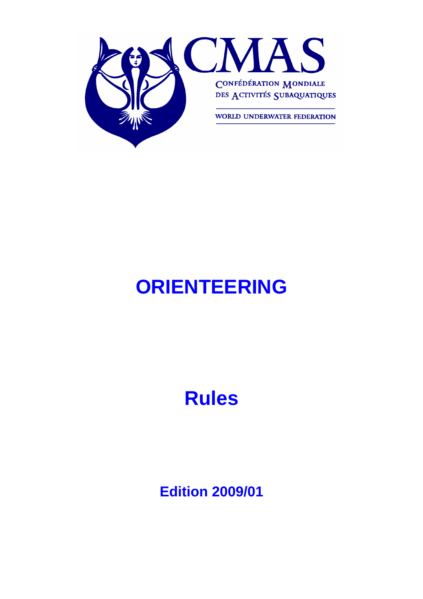

# **ORIENTEERING**

# **Rules**

**Edition 2009/01**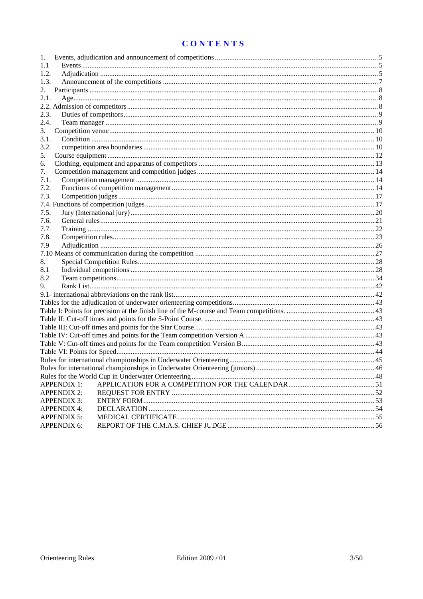# **CONTENTS**

| 1.   |                    |  |
|------|--------------------|--|
| 1.1  |                    |  |
| 1.2. |                    |  |
| 1.3. |                    |  |
| 2.   |                    |  |
| 2.1. |                    |  |
|      |                    |  |
| 2.3. |                    |  |
| 2.4. |                    |  |
| 3.   |                    |  |
| 3.1. |                    |  |
| 3.2. |                    |  |
| 5.   |                    |  |
| 6.   |                    |  |
| 7.   |                    |  |
| 7.1. |                    |  |
| 7.2. |                    |  |
| 7.3. |                    |  |
|      |                    |  |
| 7.5. |                    |  |
| 7.6. |                    |  |
| 7.7. |                    |  |
| 7.8. |                    |  |
| 7.9  |                    |  |
|      |                    |  |
| 8.   |                    |  |
| 8.1  |                    |  |
| 8.2  |                    |  |
| 9.   |                    |  |
|      |                    |  |
|      |                    |  |
|      |                    |  |
|      |                    |  |
|      |                    |  |
|      |                    |  |
|      |                    |  |
|      |                    |  |
|      |                    |  |
|      |                    |  |
|      |                    |  |
|      | <b>APPENDIX 1:</b> |  |
|      | <b>APPENDIX 2:</b> |  |
|      | <b>APPENDIX 3:</b> |  |
|      | <b>APPENDIX 4:</b> |  |
|      | <b>APPENDIX 5:</b> |  |
|      | <b>APPENDIX 6:</b> |  |
|      |                    |  |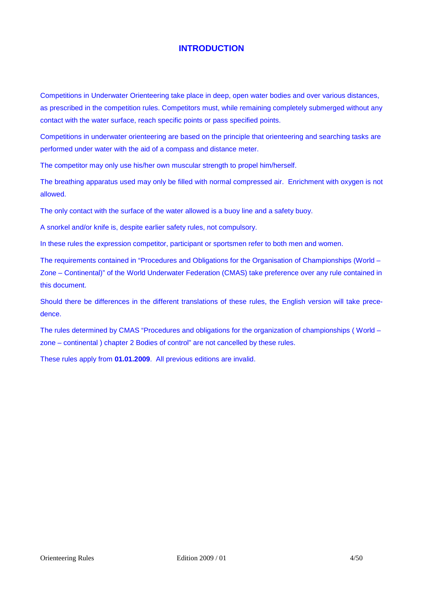## **INTRODUCTION**

Competitions in Underwater Orienteering take place in deep, open water bodies and over various distances, as prescribed in the competition rules. Competitors must, while remaining completely submerged without any contact with the water surface, reach specific points or pass specified points.

Competitions in underwater orienteering are based on the principle that orienteering and searching tasks are performed under water with the aid of a compass and distance meter.

The competitor may only use his/her own muscular strength to propel him/herself.

The breathing apparatus used may only be filled with normal compressed air. Enrichment with oxygen is not allowed.

The only contact with the surface of the water allowed is a buoy line and a safety buoy.

A snorkel and/or knife is, despite earlier safety rules, not compulsory.

In these rules the expression competitor, participant or sportsmen refer to both men and women.

The requirements contained in "Procedures and Obligations for the Organisation of Championships (World – Zone – Continental)" of the World Underwater Federation (CMAS) take preference over any rule contained in this document.

Should there be differences in the different translations of these rules, the English version will take precedence.

The rules determined by CMAS "Procedures and obligations for the organization of championships ( World – zone – continental ) chapter 2 Bodies of control" are not cancelled by these rules.

These rules apply from **01.01.2009**. All previous editions are invalid.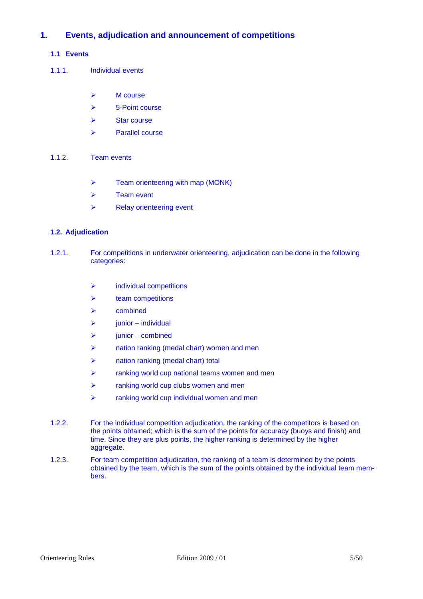## **1. Events, adjudication and announcement of competitions**

## **1.1 Events**

- 1.1.1. Individual events
	- $\triangleright$  M course
	- $\triangleright$  5-Point course
	- $\triangleright$  Star course
	- $\triangleright$  Parallel course
- 1.1.2. Team events
	- $\triangleright$  Team orienteering with map (MONK)
	- $\triangleright$  Team event
	- $\triangleright$  Relay orienteering event

## **1.2. Adjudication**

- 1.2.1. For competitions in underwater orienteering, adjudication can be done in the following categories:
	- $\triangleright$  individual competitions
	- $\triangleright$  team competitions
	- $\triangleright$  combined
	- $\triangleright$  junior individual
	- junior combined
	- nation ranking (medal chart) women and men
	- > nation ranking (medal chart) total
	- $\triangleright$  ranking world cup national teams women and men
	- $\triangleright$  ranking world cup clubs women and men
	- $\triangleright$  ranking world cup individual women and men
- 1.2.2. For the individual competition adjudication, the ranking of the competitors is based on the points obtained; which is the sum of the points for accuracy (buoys and finish) and time. Since they are plus points, the higher ranking is determined by the higher aggregate.
- 1.2.3. For team competition adjudication, the ranking of a team is determined by the points obtained by the team, which is the sum of the points obtained by the individual team members.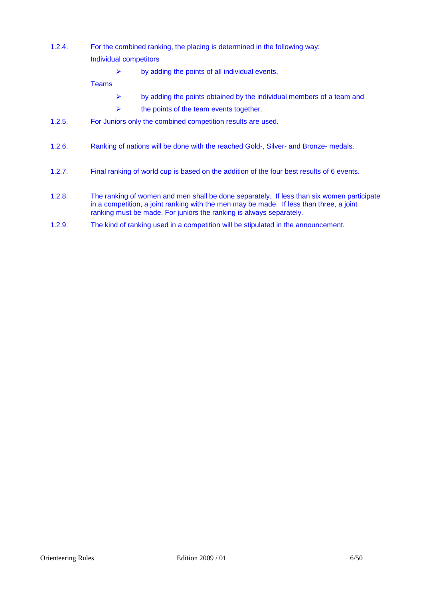- 1.2.4. For the combined ranking, the placing is determined in the following way: Individual competitors
	- $\triangleright$  by adding the points of all individual events,

Teams

- $\triangleright$  by adding the points obtained by the individual members of a team and
- $\triangleright$  the points of the team events together.
- 1.2.5. For Juniors only the combined competition results are used.
- 1.2.6. Ranking of nations will be done with the reached Gold-, Silver- and Bronze- medals.
- 1.2.7. Final ranking of world cup is based on the addition of the four best results of 6 events.
- 1.2.8. The ranking of women and men shall be done separately. If less than six women participate in a competition, a joint ranking with the men may be made. If less than three, a joint ranking must be made. For juniors the ranking is always separately.
- 1.2.9. The kind of ranking used in a competition will be stipulated in the announcement.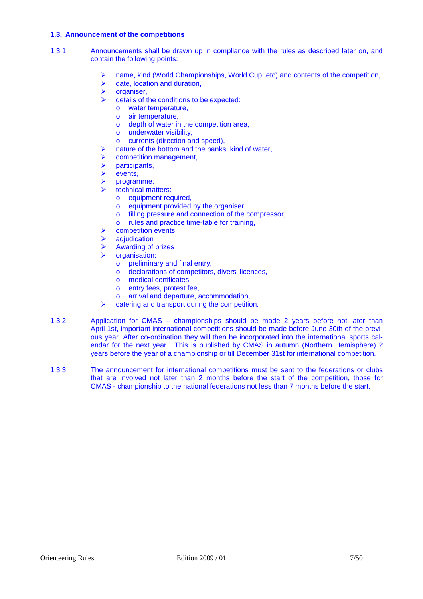## **1.3. Announcement of the competitions**

- 1.3.1. Announcements shall be drawn up in compliance with the rules as described later on, and contain the following points:
	- name, kind (World Championships, World Cup, etc) and contents of the competition,
	- $\triangleright$  date, location and duration,
	- $\triangleright$  organiser,
	- details of the conditions to be expected:
		- o water temperature,
		- o air temperature,
		- o depth of water in the competition area,
		- o underwater visibility,
		- o currents (direction and speed),
	- $\triangleright$  nature of the bottom and the banks, kind of water,
	- competition management,
	- $\triangleright$  participants,
	- $\triangleright$  events,
	- programme,
	- technical matters:
		- o equipment required,
		- o equipment provided by the organiser,
		- o filling pressure and connection of the compressor,
		- o rules and practice time-table for training,
	- competition events
	- **adiudication**
	- Awarding of prizes
	- organisation:
		- o preliminary and final entry,
		- o declarations of competitors, divers' licences,
		- o medical certificates,
		- o entry fees, protest fee,
		- o arrival and departure, accommodation,
	- $\triangleright$  catering and transport during the competition.
- 1.3.2. Application for CMAS championships should be made 2 years before not later than April 1st, important international competitions should be made before June 30th of the previous year. After co-ordination they will then be incorporated into the international sports calendar for the next year. This is published by CMAS in autumn (Northern Hemisphere) 2 years before the year of a championship or till December 31st for international competition.
- 1.3.3. The announcement for international competitions must be sent to the federations or clubs that are involved not later than 2 months before the start of the competition, those for CMAS - championship to the national federations not less than 7 months before the start.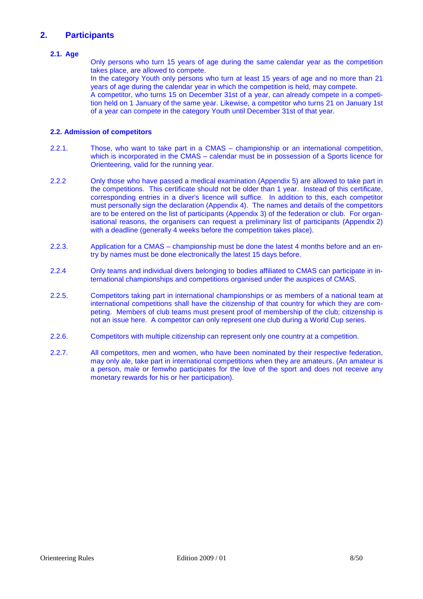## **2. Participants**

## **2.1. Age**

Only persons who turn 15 years of age during the same calendar year as the competition takes place, are allowed to compete.

In the category Youth only persons who turn at least 15 years of age and no more than 21 years of age during the calendar year in which the competition is held, may compete.

A competitor, who turns 15 on December 31st of a year, can already compete in a competition held on 1 January of the same year. Likewise, a competitor who turns 21 on January 1st of a year can compete in the category Youth until December 31st of that year.

## **2.2. Admission of competitors**

- 2.2.1. Those, who want to take part in a CMAS championship or an international competition, which is incorporated in the CMAS – calendar must be in possession of a Sports licence for Orienteering, valid for the running year.
- 2.2.2 Only those who have passed a medical examination (Appendix 5) are allowed to take part in the competitions. This certificate should not be older than 1 year. Instead of this certificate, corresponding entries in a diver's licence will suffice. In addition to this, each competitor must personally sign the declaration (Appendix 4). The names and details of the competitors are to be entered on the list of participants (Appendix 3) of the federation or club. For organisational reasons, the organisers can request a preliminary list of participants (Appendix 2) with a deadline (generally 4 weeks before the competition takes place).
- 2.2.3. Application for a CMAS championship must be done the latest 4 months before and an entry by names must be done electronically the latest 15 days before.
- 2.2.4 Only teams and individual divers belonging to bodies affiliated to CMAS can participate in international championships and competitions organised under the auspices of CMAS.
- 2.2.5. Competitors taking part in international championships or as members of a national team at international competitions shall have the citizenship of that country for which they are competing. Members of club teams must present proof of membership of the club; citizenship is not an issue here. A competitor can only represent one club during a World Cup series.
- 2.2.6. Competitors with multiple citizenship can represent only one country at a competition.
- 2.2.7. All competitors, men and women, who have been nominated by their respective federation, may only ale, take part in international competitions when they are amateurs. (An amateur is a person, male or femwho participates for the love of the sport and does not receive any monetary rewards for his or her participation).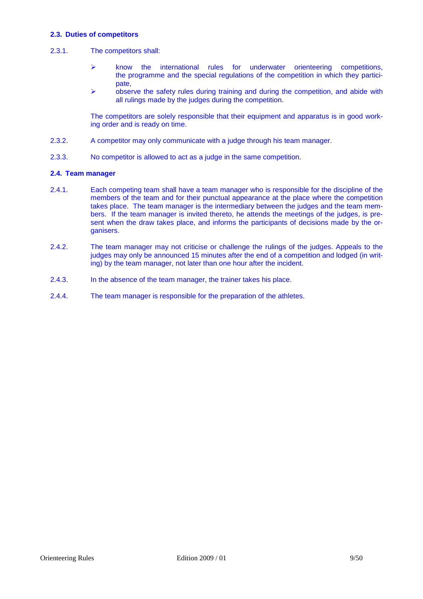## **2.3. Duties of competitors**

## 2.3.1. The competitors shall:

- $\triangleright$  know the international rules for underwater orienteering competitions, the programme and the special regulations of the competition in which they participate,
- $\triangleright$  observe the safety rules during training and during the competition, and abide with all rulings made by the judges during the competition.

The competitors are solely responsible that their equipment and apparatus is in good working order and is ready on time.

- 2.3.2. A competitor may only communicate with a judge through his team manager.
- 2.3.3. No competitor is allowed to act as a judge in the same competition.

## **2.4. Team manager**

- 2.4.1. Each competing team shall have a team manager who is responsible for the discipline of the members of the team and for their punctual appearance at the place where the competition takes place. The team manager is the intermediary between the judges and the team members. If the team manager is invited thereto, he attends the meetings of the judges, is present when the draw takes place, and informs the participants of decisions made by the organisers.
- 2.4.2. The team manager may not criticise or challenge the rulings of the judges. Appeals to the judges may only be announced 15 minutes after the end of a competition and lodged (in writing) by the team manager, not later than one hour after the incident.
- 2.4.3. In the absence of the team manager, the trainer takes his place.
- 2.4.4. The team manager is responsible for the preparation of the athletes.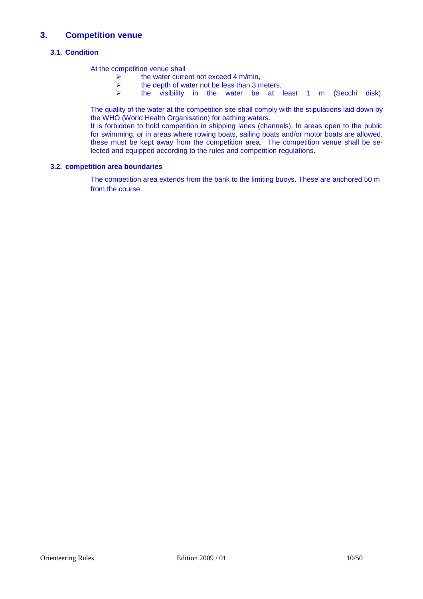## **3. Competition venue**

## **3.1. Condition**

At the competition venue shall

- A the water current not exceed 4 m/min,<br>A the depth of water not be less than 3 m
- $\geq$  the depth of water not be less than 3 meters,<br>  $\geq$  the visibility in the water be at
- the visibility in the water be at least 1 m (Secchi disk).

The quality of the water at the competition site shall comply with the stipulations laid down by the WHO (World Health Organisation) for bathing waters.

It is forbidden to hold competition in shipping lanes (channels). In areas open to the public for swimming, or in areas where rowing boats, sailing boats and/or motor boats are allowed, these must be kept away from the competition area. The competition venue shall be selected and equipped according to the rules and competition regulations.

## **3.2. competition area boundaries**

The competition area extends from the bank to the limiting buoys. These are anchored 50 m from the course.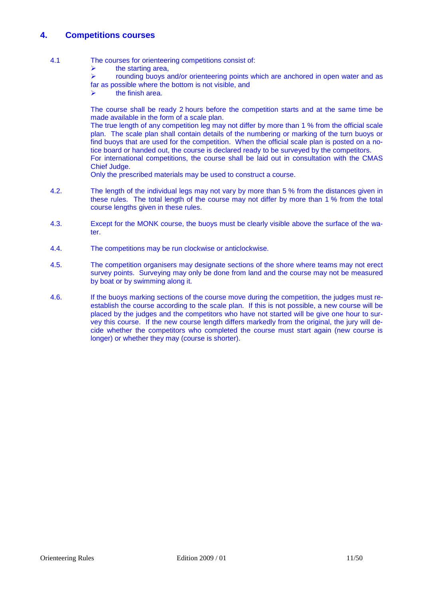## **4. Competitions courses**

- 4.1 The courses for orienteering competitions consist of:
	- $\triangleright$  the starting area,

 rounding buoys and/or orienteering points which are anchored in open water and as far as possible where the bottom is not visible, and

 $\triangleright$  the finish area.

The course shall be ready 2 hours before the competition starts and at the same time be made available in the form of a scale plan.

The true length of any competition leg may not differ by more than 1 % from the official scale plan. The scale plan shall contain details of the numbering or marking of the turn buoys or find buoys that are used for the competition. When the official scale plan is posted on a notice board or handed out, the course is declared ready to be surveyed by the competitors. For international competitions, the course shall be laid out in consultation with the CMAS Chief Judge.

Only the prescribed materials may be used to construct a course.

- 4.2. The length of the individual legs may not vary by more than 5 % from the distances given in these rules. The total length of the course may not differ by more than 1 % from the total course lengths given in these rules.
- 4.3. Except for the MONK course, the buoys must be clearly visible above the surface of the water.
- 4.4. The competitions may be run clockwise or anticlockwise.
- 4.5. The competition organisers may designate sections of the shore where teams may not erect survey points. Surveying may only be done from land and the course may not be measured by boat or by swimming along it.
- 4.6. If the buoys marking sections of the course move during the competition, the judges must reestablish the course according to the scale plan. If this is not possible, a new course will be placed by the judges and the competitors who have not started will be give one hour to survey this course. If the new course length differs markedly from the original, the jury will decide whether the competitors who completed the course must start again (new course is longer) or whether they may (course is shorter).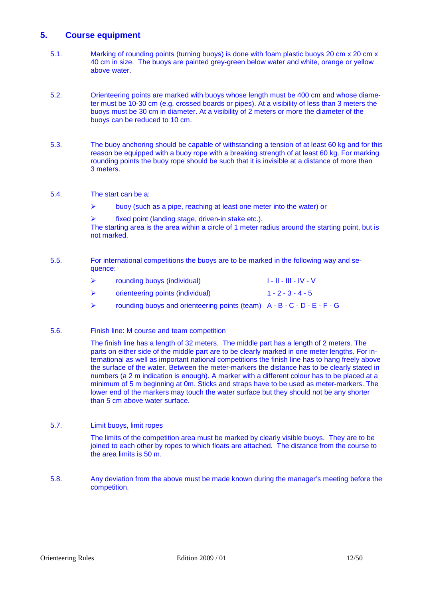## **5. Course equipment**

- 5.1. Marking of rounding points (turning buoys) is done with foam plastic buoys 20 cm x 20 cm x 40 cm in size. The buoys are painted grey-green below water and white, orange or yellow above water.
- 5.2. Orienteering points are marked with buoys whose length must be 400 cm and whose diameter must be 10-30 cm (e.g. crossed boards or pipes). At a visibility of less than 3 meters the buoys must be 30 cm in diameter. At a visibility of 2 meters or more the diameter of the buoys can be reduced to 10 cm.
- 5.3. The buoy anchoring should be capable of withstanding a tension of at least 60 kg and for this reason be equipped with a buoy rope with a breaking strength of at least 60 kg. For marking rounding points the buoy rope should be such that it is invisible at a distance of more than 3 meters.
- 5.4. The start can be a:
	- $\triangleright$  buoy (such as a pipe, reaching at least one meter into the water) or
	- $\triangleright$  fixed point (landing stage, driven-in stake etc.).

The starting area is the area within a circle of 1 meter radius around the starting point, but is not marked.

5.5. For international competitions the buoys are to be marked in the following way and sequence:

|   | rounding buoys (individual)                                               | 1 - 11 - 111 - IV - V |
|---|---------------------------------------------------------------------------|-----------------------|
| ➤ | orienteering points (individual)                                          | $1 - 2 - 3 - 4 - 5$   |
| ➤ | rounding buoys and orienteering points (team) $A - B - C - D - E - F - G$ |                       |

5.6. Finish line: M course and team competition

The finish line has a length of 32 meters. The middle part has a length of 2 meters. The parts on either side of the middle part are to be clearly marked in one meter lengths. For international as well as important national competitions the finish line has to hang freely above the surface of the water. Between the meter-markers the distance has to be clearly stated in numbers (a 2 m indication is enough). A marker with a different colour has to be placed at a minimum of 5 m beginning at 0m. Sticks and straps have to be used as meter-markers. The lower end of the markers may touch the water surface but they should not be any shorter than 5 cm above water surface.

5.7. Limit buoys, limit ropes

The limits of the competition area must be marked by clearly visible buoys. They are to be joined to each other by ropes to which floats are attached. The distance from the course to the area limits is 50 m.

5.8. Any deviation from the above must be made known during the manager's meeting before the competition.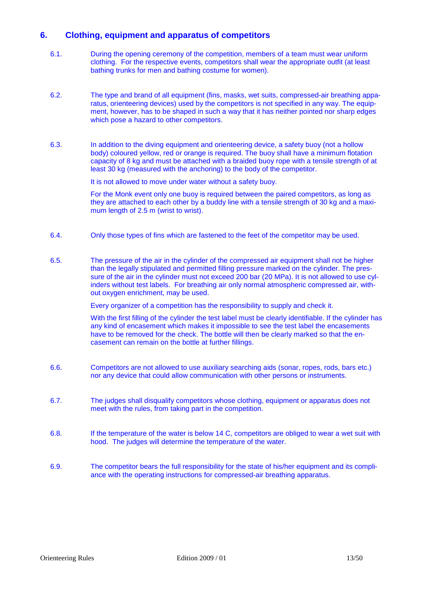## **6. Clothing, equipment and apparatus of competitors**

- 6.1. During the opening ceremony of the competition, members of a team must wear uniform clothing. For the respective events, competitors shall wear the appropriate outfit (at least bathing trunks for men and bathing costume for women).
- 6.2. The type and brand of all equipment (fins, masks, wet suits, compressed-air breathing apparatus, orienteering devices) used by the competitors is not specified in any way. The equipment, however, has to be shaped in such a way that it has neither pointed nor sharp edges which pose a hazard to other competitors.
- 6.3. In addition to the diving equipment and orienteering device, a safety buoy (not a hollow body) coloured yellow, red or orange is required. The buoy shall have a minimum flotation capacity of 8 kg and must be attached with a braided buoy rope with a tensile strength of at least 30 kg (measured with the anchoring) to the body of the competitor.

It is not allowed to move under water without a safety buoy.

For the Monk event only one buoy is required between the paired competitors, as long as they are attached to each other by a buddy line with a tensile strength of 30 kg and a maximum length of 2.5 m (wrist to wrist).

- 6.4. Only those types of fins which are fastened to the feet of the competitor may be used.
- 6.5. The pressure of the air in the cylinder of the compressed air equipment shall not be higher than the legally stipulated and permitted filling pressure marked on the cylinder. The pressure of the air in the cylinder must not exceed 200 bar (20 MPa). It is not allowed to use cylinders without test labels. For breathing air only normal atmospheric compressed air, without oxygen enrichment, may be used.

Every organizer of a competition has the responsibility to supply and check it.

 With the first filling of the cylinder the test label must be clearly identifiable. If the cylinder has any kind of encasement which makes it impossible to see the test label the encasements have to be removed for the check. The bottle will then be clearly marked so that the encasement can remain on the bottle at further fillings.

- 6.6. Competitors are not allowed to use auxiliary searching aids (sonar, ropes, rods, bars etc.) nor any device that could allow communication with other persons or instruments.
- 6.7. The judges shall disqualify competitors whose clothing, equipment or apparatus does not meet with the rules, from taking part in the competition.
- 6.8. If the temperature of the water is below 14 C, competitors are obliged to wear a wet suit with hood. The judges will determine the temperature of the water.
- 6.9. The competitor bears the full responsibility for the state of his/her equipment and its compliance with the operating instructions for compressed-air breathing apparatus.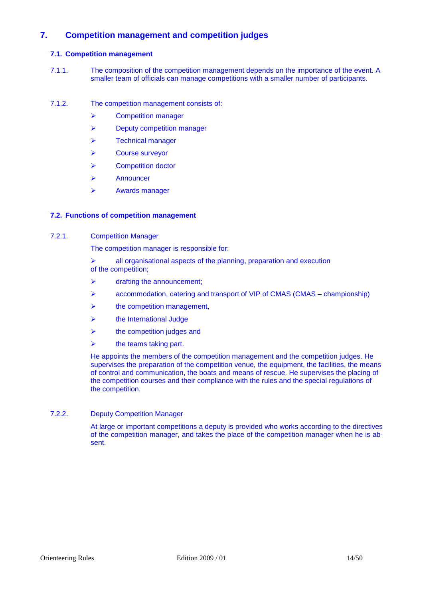## **7. Competition management and competition judges**

## **7.1. Competition management**

- 7.1.1. The composition of the competition management depends on the importance of the event. A smaller team of officials can manage competitions with a smaller number of participants.
- 7.1.2. The competition management consists of:
	- Competition manager
	- **Deputy competition manager**
	- $\triangleright$  Technical manager
	- Course surveyor
	- **▶ Competition doctor**
	- $\triangleright$  Announcer
	- Awards manager

## **7.2. Functions of competition management**

#### 7.2.1. Competition Manager

The competition manager is responsible for:

 $\geq$  all organisational aspects of the planning, preparation and execution of the competition;

- $\triangleright$  drafting the announcement;
- $\triangleright$  accommodation, catering and transport of VIP of CMAS (CMAS championship)
- $\triangleright$  the competition management,
- $\triangleright$  the International Judge
- $\triangleright$  the competition judges and
- the teams taking part.

He appoints the members of the competition management and the competition judges. He supervises the preparation of the competition venue, the equipment, the facilities, the means of control and communication, the boats and means of rescue. He supervises the placing of the competition courses and their compliance with the rules and the special regulations of the competition.

## 7.2.2. Deputy Competition Manager

At large or important competitions a deputy is provided who works according to the directives of the competition manager, and takes the place of the competition manager when he is absent.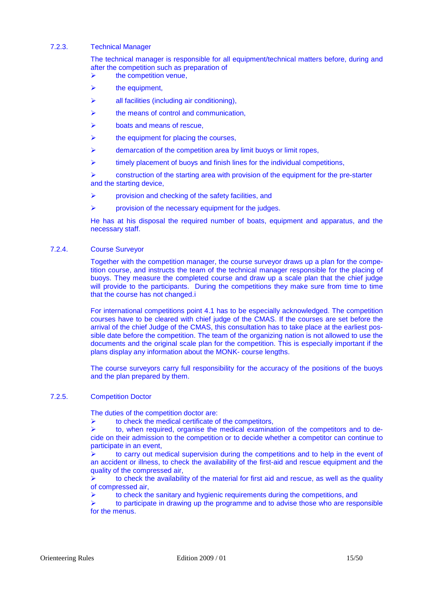## 7.2.3. Technical Manager

The technical manager is responsible for all equipment/technical matters before, during and after the competition such as preparation of

- $\triangleright$  the competition venue.
- the equipment,
- $\triangleright$  all facilities (including air conditioning),
- the means of control and communication,
- boats and means of rescue,
- the equipment for placing the courses,
- $\triangleright$  demarcation of the competition area by limit buoys or limit ropes,
- $\triangleright$  timely placement of buoys and finish lines for the individual competitions,

 $\triangleright$  construction of the starting area with provision of the equipment for the pre-starter and the starting device,

- $\triangleright$  provision and checking of the safety facilities, and
- provision of the necessary equipment for the judges.

He has at his disposal the required number of boats, equipment and apparatus, and the necessary staff.

#### 7.2.4. Course Surveyor

Together with the competition manager, the course surveyor draws up a plan for the competition course, and instructs the team of the technical manager responsible for the placing of buoys. They measure the completed course and draw up a scale plan that the chief judge will provide to the participants. During the competitions they make sure from time to time that the course has not changed.i

For international competitions point 4.1 has to be especially acknowledged. The competition courses have to be cleared with chief judge of the CMAS. If the courses are set before the arrival of the chief Judge of the CMAS, this consultation has to take place at the earliest possible date before the competition. The team of the organizing nation is not allowed to use the documents and the original scale plan for the competition. This is especially important if the plans display any information about the MONK- course lengths.

The course surveyors carry full responsibility for the accuracy of the positions of the buoys and the plan prepared by them.

## 7.2.5. Competition Doctor

The duties of the competition doctor are:

to check the medical certificate of the competitors,

 to, when required, organise the medical examination of the competitors and to decide on their admission to the competition or to decide whether a competitor can continue to participate in an event,

 to carry out medical supervision during the competitions and to help in the event of an accident or illness, to check the availability of the first-aid and rescue equipment and the quality of the compressed air,

 to check the availability of the material for first aid and rescue, as well as the quality of compressed air,

to check the sanitary and hygienic requirements during the competitions, and

 to participate in drawing up the programme and to advise those who are responsible for the menus.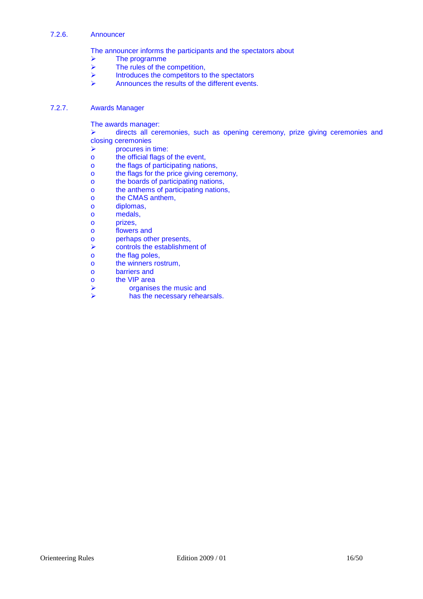#### 7.2.6. Announcer

The announcer informs the participants and the spectators about

- $\triangleright$  The programme<br>  $\triangleright$  The rules of the
- The rules of the competition,
- $\triangleright$  Introduces the competitors to the spectators<br> $\triangleright$  Announces the results of the different events
- Announces the results of the different events.

## 7.2.7. Awards Manager

The awards manager:

 directs all ceremonies, such as opening ceremony, prize giving ceremonies and closing ceremonies

- $\triangleright$  procures in time:
- o the official flags of the event,
- o the flags of participating nations,
- o the flags for the price giving ceremony,
- o the boards of participating nations,
- o the anthems of participating nations,
- o the CMAS anthem,
- o diplomas,
- o medals,
- o prizes,
- o flowers and
- o perhaps other presents,
- $\triangleright$  controls the establishment of
- o the flag poles,
- o the winners rostrum,
- o barriers and
- o the VIP area
- $\triangleright$  organises the music and
- $\triangleright$  has the necessary rehearsals.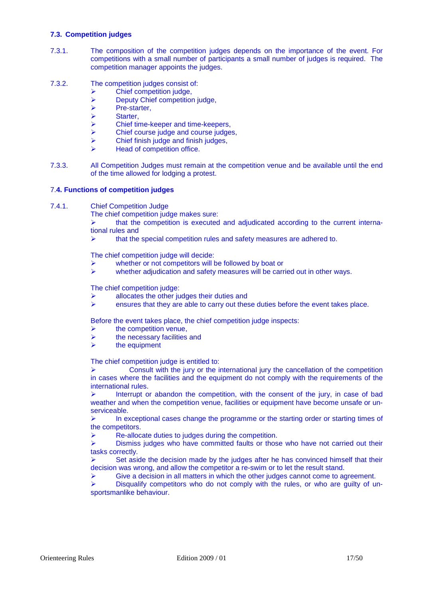## **7.3. Competition judges**

- 7.3.1. The composition of the competition judges depends on the importance of the event. For competitions with a small number of participants a small number of judges is required. The competition manager appoints the judges.
- 7.3.2. The competition judges consist of:
	- Chief competition judge.
	- $\triangleright$  Deputy Chief competition judge,<br>  $\triangleright$  Pre-starter.
	- $\triangleright$  Pre-starter,<br> $\triangleright$  Starter.
	- > Starter,<br>> Chief tir
	- Chief time-keeper and time-keepers,
	- $\triangleright$  Chief course judge and course judges,
	- $\triangleright$  Chief finish judge and finish judges,
	- Head of competition office.
- 7.3.3. All Competition Judges must remain at the competition venue and be available until the end of the time allowed for lodging a protest.

#### 7.**4. Functions of competition judges**

7.4.1. Chief Competition Judge

The chief competition judge makes sure:

 that the competition is executed and adjudicated according to the current international rules and

that the special competition rules and safety measures are adhered to.

The chief competition judge will decide:

- whether or not competitors will be followed by boat or
- whether adjudication and safety measures will be carried out in other ways.

The chief competition judge:

- allocates the other judges their duties and
- ensures that they are able to carry out these duties before the event takes place.

Before the event takes place, the chief competition judge inspects:

- $\triangleright$  the competition venue,
- $\triangleright$  the necessary facilities and
- $\triangleright$  the equipment

The chief competition judge is entitled to:

 $\triangleright$  Consult with the jury or the international jury the cancellation of the competition in cases where the facilities and the equipment do not comply with the requirements of the international rules.

 $\triangleright$  Interrupt or abandon the competition, with the consent of the jury, in case of bad weather and when the competition venue, facilities or equipment have become unsafe or unserviceable.

 $\triangleright$  In exceptional cases change the programme or the starting order or starting times of the competitors.

Re-allocate duties to judges during the competition.

 Dismiss judges who have committed faults or those who have not carried out their tasks correctly.

 Set aside the decision made by the judges after he has convinced himself that their decision was wrong, and allow the competitor a re-swim or to let the result stand.

 $\triangleright$  Give a decision in all matters in which the other judges cannot come to agreement.

 $\triangleright$  Disqualify competitors who do not comply with the rules, or who are quilty of unsportsmanlike behaviour.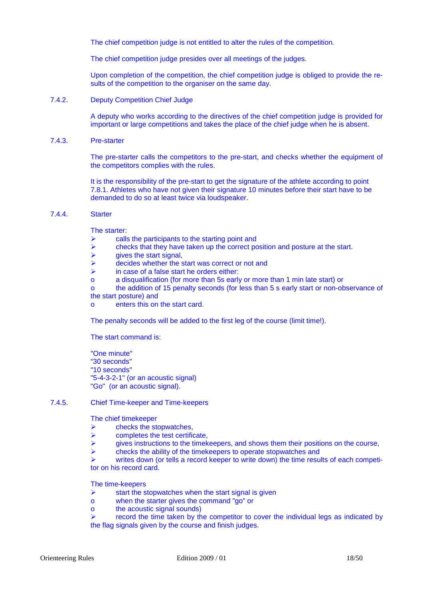The chief competition judge is not entitled to alter the rules of the competition.

The chief competition judge presides over all meetings of the judges.

Upon completion of the competition, the chief competition judge is obliged to provide the results of the competition to the organiser on the same day.

7.4.2. Deputy Competition Chief Judge

A deputy who works according to the directives of the chief competition judge is provided for important or large competitions and takes the place of the chief judge when he is absent.

7.4.3. Pre-starter

The pre-starter calls the competitors to the pre-start, and checks whether the equipment of the competitors complies with the rules.

It is the responsibility of the pre-start to get the signature of the athlete according to point 7.8.1. Athletes who have not given their signature 10 minutes before their start have to be demanded to do so at least twice via loudspeaker.

## 7.4.4. Starter

The starter:

- $\triangleright$  calls the participants to the starting point and
- $\triangleright$  checks that they have taken up the correct position and posture at the start.
- $\triangleright$  gives the start signal,
- $\triangleright$  decides whether the start was correct or not and
- $\triangleright$  in case of a false start he orders either:
- o a disqualification (for more than 5s early or more than 1 min late start) or
- o the addition of 15 penalty seconds (for less than 5 s early start or non-observance of the start posture) and
- o enters this on the start card.

The penalty seconds will be added to the first leg of the course (limit time!).

The start command is:

"One minute" "30 seconds" "10 seconds" "5-4-3-2-1" (or an acoustic signal) "Go" (or an acoustic signal).

## 7.4.5. Chief Time-keeper and Time-keepers

The chief timekeeper

- checks the stopwatches,
- $\triangleright$  completes the test certificate.
- gives instructions to the timekeepers, and shows them their positions on the course,
- checks the ability of the timekeepers to operate stopwatches and

 writes down (or tells a record keeper to write down) the time results of each competitor on his record card.

The time-keepers

- $\triangleright$  start the stopwatches when the start signal is given
- o when the starter gives the command "go" or
- o the acoustic signal sounds)

 $\triangleright$  record the time taken by the competitor to cover the individual legs as indicated by the flag signals given by the course and finish judges.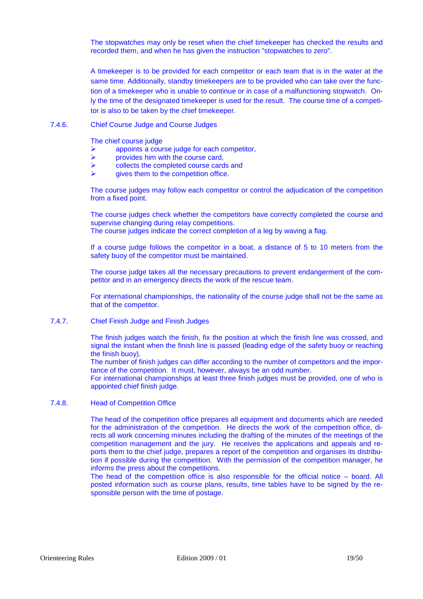The stopwatches may only be reset when the chief timekeeper has checked the results and recorded them, and when he has given the instruction "stopwatches to zero".

A timekeeper is to be provided for each competitor or each team that is in the water at the same time. Additionally, standby timekeepers are to be provided who can take over the function of a timekeeper who is unable to continue or in case of a malfunctioning stopwatch. Only the time of the designated timekeeper is used for the result. The course time of a competitor is also to be taken by the chief timekeeper.

#### 7.4.6. Chief Course Judge and Course Judges

The chief course judge

- appoints a course judge for each competitor,
- $\triangleright$  provides him with the course card,
- $\triangleright$  collects the completed course cards and
- gives them to the competition office.

The course judges may follow each competitor or control the adjudication of the competition from a fixed point.

The course judges check whether the competitors have correctly completed the course and supervise changing during relay competitions.

The course judges indicate the correct completion of a leg by waving a flag.

If a course judge follows the competitor in a boat, a distance of 5 to 10 meters from the safety buoy of the competitor must be maintained.

The course judge takes all the necessary precautions to prevent endangerment of the competitor and in an emergency directs the work of the rescue team.

For international championships, the nationality of the course judge shall not be the same as that of the competitor.

7.4.7. Chief Finish Judge and Finish Judges

The finish judges watch the finish, fix the position at which the finish line was crossed, and signal the instant when the finish line is passed (leading edge of the safety buoy or reaching the finish buoy).

The number of finish judges can differ according to the number of competitors and the importance of the competition. It must, however, always be an odd number.

For international championships at least three finish judges must be provided, one of who is appointed chief finish judge.

## 7.4.8. Head of Competition Office

The head of the competition office prepares all equipment and documents which are needed for the administration of the competition. He directs the work of the competition office, directs all work concerning minutes including the drafting of the minutes of the meetings of the competition management and the jury. He receives the applications and appeals and reports them to the chief judge, prepares a report of the competition and organises its distribution if possible during the competition. With the permission of the competition manager, he informs the press about the competitions.

The head of the competition office is also responsible for the official notice – board. All posted information such as course plans, results, time tables have to be signed by the responsible person with the time of postage.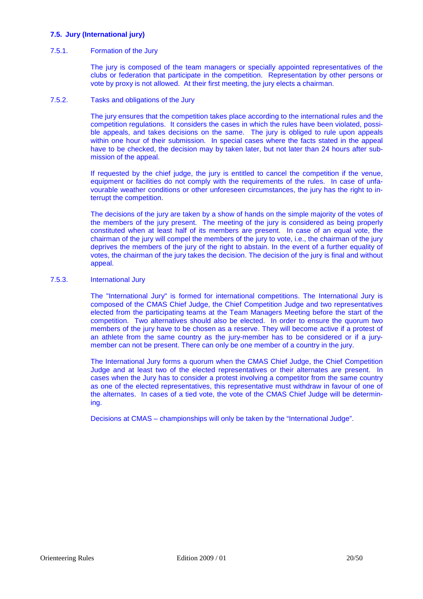## **7.5. Jury (International jury)**

## 7.5.1. Formation of the Jury

The jury is composed of the team managers or specially appointed representatives of the clubs or federation that participate in the competition. Representation by other persons or vote by proxy is not allowed. At their first meeting, the jury elects a chairman.

#### 7.5.2. Tasks and obligations of the Jury

The jury ensures that the competition takes place according to the international rules and the competition regulations. It considers the cases in which the rules have been violated, possible appeals, and takes decisions on the same. The jury is obliged to rule upon appeals within one hour of their submission. In special cases where the facts stated in the appeal have to be checked, the decision may by taken later, but not later than 24 hours after submission of the appeal.

If requested by the chief judge, the jury is entitled to cancel the competition if the venue, equipment or facilities do not comply with the requirements of the rules. In case of unfavourable weather conditions or other unforeseen circumstances, the jury has the right to interrupt the competition.

The decisions of the jury are taken by a show of hands on the simple majority of the votes of the members of the jury present. The meeting of the jury is considered as being properly constituted when at least half of its members are present. In case of an equal vote, the chairman of the jury will compel the members of the jury to vote, i.e., the chairman of the jury deprives the members of the jury of the right to abstain. In the event of a further equality of votes, the chairman of the jury takes the decision. The decision of the jury is final and without appeal.

#### 7.5.3. International Jury

The "International Jury" is formed for international competitions. The International Jury is composed of the CMAS Chief Judge, the Chief Competition Judge and two representatives elected from the participating teams at the Team Managers Meeting before the start of the competition. Two alternatives should also be elected. In order to ensure the quorum two members of the jury have to be chosen as a reserve. They will become active if a protest of an athlete from the same country as the jury-member has to be considered or if a jurymember can not be present. There can only be one member of a country in the jury.

The International Jury forms a quorum when the CMAS Chief Judge, the Chief Competition Judge and at least two of the elected representatives or their alternates are present. In cases when the Jury has to consider a protest involving a competitor from the same country as one of the elected representatives, this representative must withdraw in favour of one of the alternates. In cases of a tied vote, the vote of the CMAS Chief Judge will be determining.

Decisions at CMAS – championships will only be taken by the "International Judge".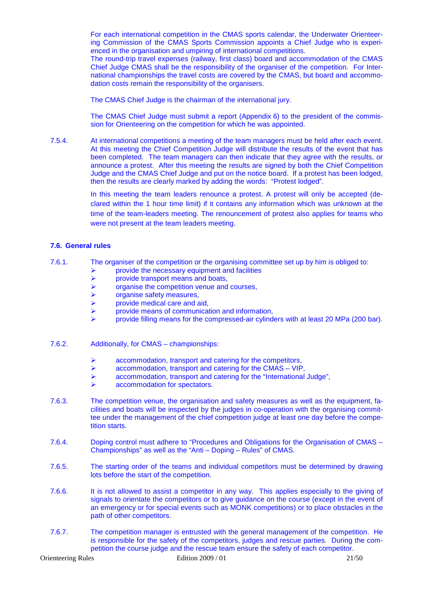For each international competition in the CMAS sports calendar, the Underwater Orienteering Commission of the CMAS Sports Commission appoints a Chief Judge who is experienced in the organisation and umpiring of international competitions.

The round-trip travel expenses (railway, first class) board and accommodation of the CMAS Chief Judge CMAS shall be the responsibility of the organiser of the competition. For International championships the travel costs are covered by the CMAS, but board and accommodation costs remain the responsibility of the organisers.

The CMAS Chief Judge is the chairman of the international jury.

The CMAS Chief Judge must submit a report (Appendix 6) to the president of the commission for Orienteering on the competition for which he was appointed.

7.5.4. At international competitions a meeting of the team managers must be held after each event. At this meeting the Chief Competition Judge will distribute the results of the event that has been completed. The team managers can then indicate that they agree with the results, or announce a protest. After this meeting the results are signed by both the Chief Competition Judge and the CMAS Chief Judge and put on the notice board. If a protest has been lodged, then the results are clearly marked by adding the words: "Protest lodged".

> In this meeting the team leaders renounce a protest. A protest will only be accepted (declared within the 1 hour time limit) if it contains any information which was unknown at the time of the team-leaders meeting. The renouncement of protest also applies for teams who were not present at the team leaders meeting.

#### **7.6. General rules**

- 7.6.1. The organiser of the competition or the organising committee set up by him is obliged to:
	- $\triangleright$  provide the necessary equipment and facilities provide transport means and boats,
	- $\triangleright$  provide transport means and boats,<br>  $\triangleright$  organise the competition venue and
	- $\triangleright$  organise the competition venue and courses,<br>  $\triangleright$  organise safety measures.
	- organise safety measures,
	- provide medical care and aid,
	- provide means of communication and information,
	- provide filling means for the compressed-air cylinders with at least 20 MPa (200 bar).
- 7.6.2. Additionally, for CMAS championships:
	- accommodation, transport and catering for the competitors,
	- $\triangleright$  accommodation, transport and catering for the CMAS VIP,
	- accommodation, transport and catering for the "International Judge",
	- accommodation for spectators.
- 7.6.3. The competition venue, the organisation and safety measures as well as the equipment, facilities and boats will be inspected by the judges in co-operation with the organising committee under the management of the chief competition judge at least one day before the competition starts.
- 7.6.4. Doping control must adhere to "Procedures and Obligations for the Organisation of CMAS Championships" as well as the "Anti – Doping – Rules" of CMAS.
- 7.6.5. The starting order of the teams and individual competitors must be determined by drawing lots before the start of the competition.
- 7.6.6. It is not allowed to assist a competitor in any way. This applies especially to the giving of signals to orientate the competitors or to give guidance on the course (except in the event of an emergency or for special events such as MONK competitions) or to place obstacles in the path of other competitors.
- 7.6.7. The competition manager is entrusted with the general management of the competition. He is responsible for the safety of the competitors, judges and rescue parties. During the competition the course judge and the rescue team ensure the safety of each competitor.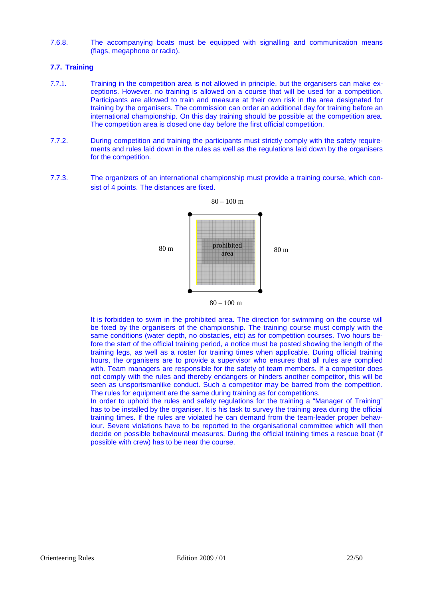7.6.8. The accompanying boats must be equipped with signalling and communication means (flags, megaphone or radio).

## **7.7. Training**

- 7.7.1. Training in the competition area is not allowed in principle, but the organisers can make exceptions. However, no training is allowed on a course that will be used for a competition. Participants are allowed to train and measure at their own risk in the area designated for training by the organisers. The commission can order an additional day for training before an international championship. On this day training should be possible at the competition area. The competition area is closed one day before the first official competition.
- 7.7.2. During competition and training the participants must strictly comply with the safety requirements and rules laid down in the rules as well as the regulations laid down by the organisers for the competition.
- 7.7.3. The organizers of an international championship must provide a training course, which consist of 4 points. The distances are fixed.



 $80 - 100$  m

It is forbidden to swim in the prohibited area. The direction for swimming on the course will be fixed by the organisers of the championship. The training course must comply with the same conditions (water depth, no obstacles, etc) as for competition courses. Two hours before the start of the official training period, a notice must be posted showing the length of the training legs, as well as a roster for training times when applicable. During official training hours, the organisers are to provide a supervisor who ensures that all rules are complied with. Team managers are responsible for the safety of team members. If a competitor does not comply with the rules and thereby endangers or hinders another competitor, this will be seen as unsportsmanlike conduct. Such a competitor may be barred from the competition. The rules for equipment are the same during training as for competitions.

In order to uphold the rules and safety regulations for the training a "Manager of Training" has to be installed by the organiser. It is his task to survey the training area during the official training times. If the rules are violated he can demand from the team-leader proper behaviour. Severe violations have to be reported to the organisational committee which will then decide on possible behavioural measures. During the official training times a rescue boat (if possible with crew) has to be near the course.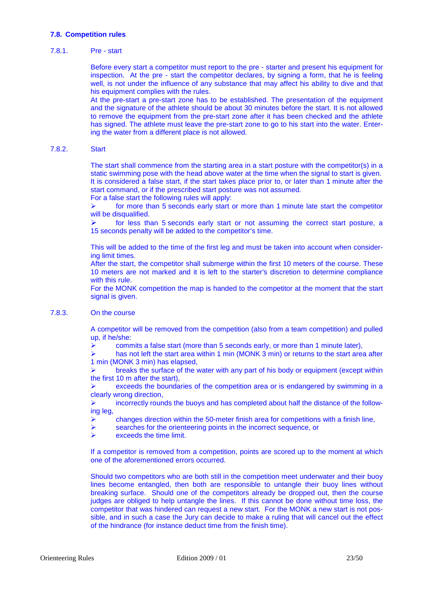## **7.8. Competition rules**

## 7.8.1. Pre - start

Before every start a competitor must report to the pre - starter and present his equipment for inspection. At the pre - start the competitor declares, by signing a form, that he is feeling well, is not under the influence of any substance that may affect his ability to dive and that his equipment complies with the rules.

At the pre-start a pre-start zone has to be established. The presentation of the equipment and the signature of the athlete should be about 30 minutes before the start. It is not allowed to remove the equipment from the pre-start zone after it has been checked and the athlete has signed. The athlete must leave the pre-start zone to go to his start into the water. Entering the water from a different place is not allowed.

## 7.8.2. Start

The start shall commence from the starting area in a start posture with the competitor(s) in a static swimming pose with the head above water at the time when the signal to start is given. It is considered a false start, if the start takes place prior to, or later than 1 minute after the start command, or if the prescribed start posture was not assumed.

For a false start the following rules will apply:

 for more than 5 seconds early start or more than 1 minute late start the competitor will be disqualified.

 for less than 5 seconds early start or not assuming the correct start posture, a 15 seconds penalty will be added to the competitor's time.

This will be added to the time of the first leg and must be taken into account when considering limit times.

After the start, the competitor shall submerge within the first 10 meters of the course. These 10 meters are not marked and it is left to the starter's discretion to determine compliance with this rule.

For the MONK competition the map is handed to the competitor at the moment that the start signal is given.

#### 7.8.3. On the course

A competitor will be removed from the competition (also from a team competition) and pulled up, if he/she:

 $\triangleright$  commits a false start (more than 5 seconds early, or more than 1 minute later),

 $\triangleright$  has not left the start area within 1 min (MONK 3 min) or returns to the start area after 1 min (MONK 3 min) has elapsed,

 breaks the surface of the water with any part of his body or equipment (except within the first 10 m after the start),

 exceeds the boundaries of the competition area or is endangered by swimming in a clearly wrong direction,

 incorrectly rounds the buoys and has completed about half the distance of the following leg,

- $\triangleright$  changes direction within the 50-meter finish area for competitions with a finish line,
- searches for the orienteering points in the incorrect sequence, or
- exceeds the time limit.

If a competitor is removed from a competition, points are scored up to the moment at which one of the aforementioned errors occurred.

Should two competitors who are both still in the competition meet underwater and their buoy lines become entangled, then both are responsible to untangle their buoy lines without breaking surface. Should one of the competitors already be dropped out, then the course judges are obliged to help untangle the lines. If this cannot be done without time loss, the competitor that was hindered can request a new start. For the MONK a new start is not possible, and in such a case the Jury can decide to make a ruling that will cancel out the effect of the hindrance (for instance deduct time from the finish time).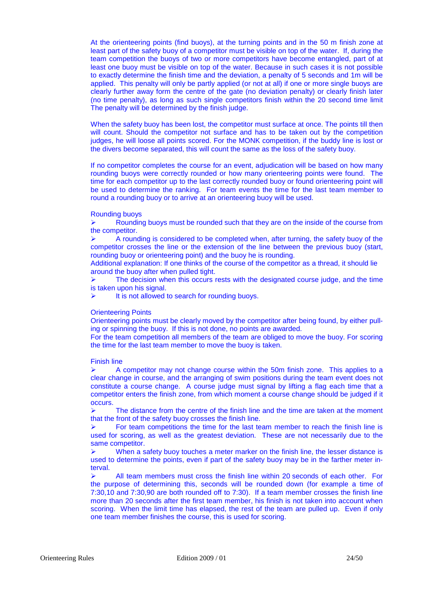At the orienteering points (find buoys), at the turning points and in the 50 m finish zone at least part of the safety buoy of a competitor must be visible on top of the water. If, during the team competition the buoys of two or more competitors have become entangled, part of at least one buoy must be visible on top of the water. Because in such cases it is not possible to exactly determine the finish time and the deviation, a penalty of 5 seconds and 1m will be applied. This penalty will only be partly applied (or not at all) if one or more single buoys are clearly further away form the centre of the gate (no deviation penalty) or clearly finish later (no time penalty), as long as such single competitors finish within the 20 second time limit The penalty will be determined by the finish judge.

When the safety buoy has been lost, the competitor must surface at once. The points till then will count. Should the competitor not surface and has to be taken out by the competition judges, he will loose all points scored. For the MONK competition, if the buddy line is lost or the divers become separated, this will count the same as the loss of the safety buoy.

If no competitor completes the course for an event, adjudication will be based on how many rounding buoys were correctly rounded or how many orienteering points were found. The time for each competitor up to the last correctly rounded buoy or found orienteering point will be used to determine the ranking. For team events the time for the last team member to round a rounding buoy or to arrive at an orienteering buoy will be used.

#### Rounding buoys

 Rounding buoys must be rounded such that they are on the inside of the course from the competitor.

 A rounding is considered to be completed when, after turning, the safety buoy of the competitor crosses the line or the extension of the line between the previous buoy (start, rounding buoy or orienteering point) and the buoy he is rounding.

Additional explanation: If one thinks of the course of the competitor as a thread, it should lie around the buoy after when pulled tight.

 The decision when this occurs rests with the designated course judge, and the time is taken upon his signal.

 $\triangleright$  It is not allowed to search for rounding buoys.

#### Orienteering Points

Orienteering points must be clearly moved by the competitor after being found, by either pulling or spinning the buoy. If this is not done, no points are awarded.

For the team competition all members of the team are obliged to move the buoy. For scoring the time for the last team member to move the buoy is taken.

#### Finish line

 $\triangleright$  A competitor may not change course within the 50m finish zone. This applies to a clear change in course, and the arranging of swim positions during the team event does not constitute a course change. A course judge must signal by lifting a flag each time that a competitor enters the finish zone, from which moment a course change should be judged if it occurs.

 $\triangleright$  The distance from the centre of the finish line and the time are taken at the moment that the front of the safety buoy crosses the finish line.

 For team competitions the time for the last team member to reach the finish line is used for scoring, as well as the greatest deviation. These are not necessarily due to the same competitor.

 $\triangleright$  When a safety buoy touches a meter marker on the finish line, the lesser distance is used to determine the points, even if part of the safety buoy may be in the farther meter interval.

 $\triangleright$  All team members must cross the finish line within 20 seconds of each other. For the purpose of determining this, seconds will be rounded down (for example a time of 7:30,10 and 7:30,90 are both rounded off to 7:30). If a team member crosses the finish line more than 20 seconds after the first team member, his finish is not taken into account when scoring. When the limit time has elapsed, the rest of the team are pulled up. Even if only one team member finishes the course, this is used for scoring.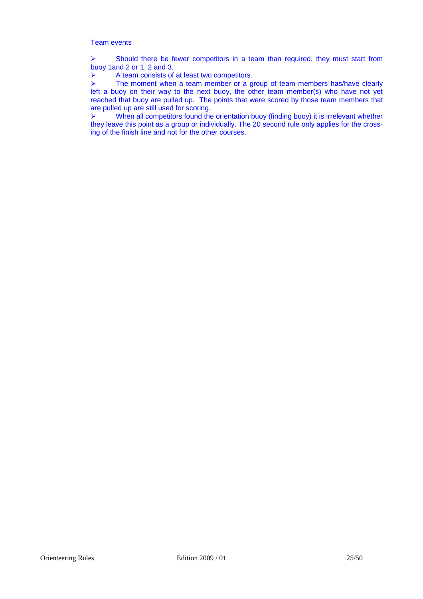## Team events

 $\triangleright$  Should there be fewer competitors in a team than required, they must start from buoy 1and 2 or 1, 2 and 3.

 $\triangleright$  A team consists of at least two competitors.

 $\triangleright$  The moment when a team member or a group of team members has/have clearly left a buoy on their way to the next buoy, the other team member(s) who have not yet reached that buoy are pulled up. The points that were scored by those team members that are pulled up are still used for scoring.

 $\triangleright$  When all competitors found the orientation buoy (finding buoy) it is irrelevant whether they leave this point as a group or individually. The 20 second rule only applies for the crossing of the finish line and not for the other courses.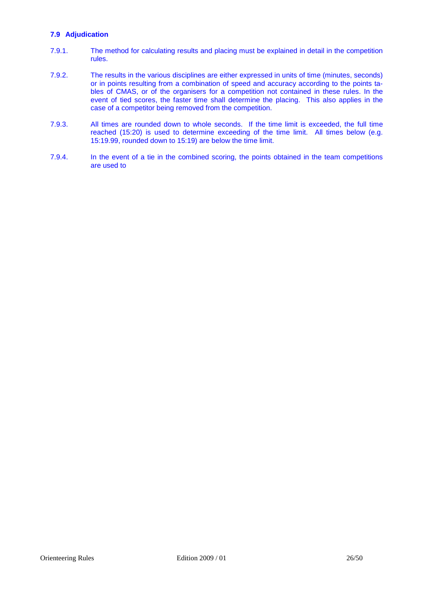## **7.9 Adjudication**

- 7.9.1. The method for calculating results and placing must be explained in detail in the competition rules.
- 7.9.2. The results in the various disciplines are either expressed in units of time (minutes, seconds) or in points resulting from a combination of speed and accuracy according to the points tables of CMAS, or of the organisers for a competition not contained in these rules. In the event of tied scores, the faster time shall determine the placing. This also applies in the case of a competitor being removed from the competition.
- 7.9.3. All times are rounded down to whole seconds. If the time limit is exceeded, the full time reached (15:20) is used to determine exceeding of the time limit. All times below (e.g. 15:19.99, rounded down to 15:19) are below the time limit.
- 7.9.4. In the event of a tie in the combined scoring, the points obtained in the team competitions are used to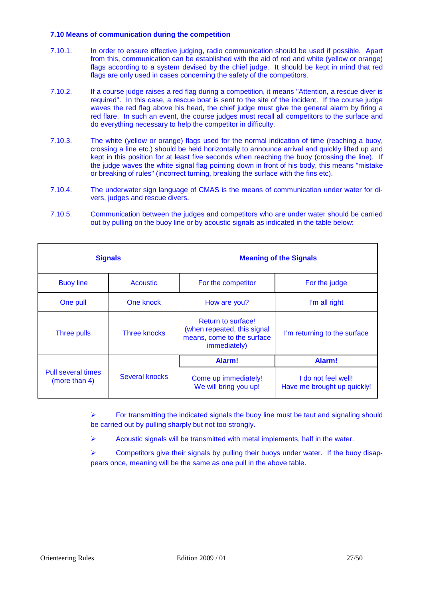## **7.10 Means of communication during the competition**

- 7.10.1. In order to ensure effective judging, radio communication should be used if possible. Apart from this, communication can be established with the aid of red and white (yellow or orange) flags according to a system devised by the chief judge. It should be kept in mind that red flags are only used in cases concerning the safety of the competitors.
- 7.10.2. If a course judge raises a red flag during a competition, it means "Attention, a rescue diver is required". In this case, a rescue boat is sent to the site of the incident. If the course judge waves the red flag above his head, the chief judge must give the general alarm by firing a red flare. In such an event, the course judges must recall all competitors to the surface and do everything necessary to help the competitor in difficulty.
- 7.10.3. The white (yellow or orange) flags used for the normal indication of time (reaching a buoy, crossing a line etc.) should be held horizontally to announce arrival and quickly lifted up and kept in this position for at least five seconds when reaching the buoy (crossing the line). If the judge waves the white signal flag pointing down in front of his body, this means "mistake or breaking of rules" (incorrect turning, breaking the surface with the fins etc).
- 7.10.4. The underwater sign language of CMAS is the means of communication under water for divers, judges and rescue divers.
- 7.10.5. Communication between the judges and competitors who are under water should be carried out by pulling on the buoy line or by acoustic signals as indicated in the table below:

| <b>Signals</b>                             |                     | <b>Meaning of the Signals</b>                                                                   |                                                    |  |
|--------------------------------------------|---------------------|-------------------------------------------------------------------------------------------------|----------------------------------------------------|--|
| <b>Buoy line</b>                           | <b>Acoustic</b>     | For the competitor                                                                              | For the judge                                      |  |
| One pull                                   | One knock           | How are you?                                                                                    | I'm all right                                      |  |
| Three pulls                                | <b>Three knocks</b> | Return to surface!<br>(when repeated, this signal<br>means, come to the surface<br>immediately) | I'm returning to the surface                       |  |
|                                            |                     | Alarm!                                                                                          | Alarm!                                             |  |
| <b>Pull several times</b><br>(more than 4) | Several knocks      | Come up immediately!<br>We will bring you up!                                                   | I do not feel well!<br>Have me brought up quickly! |  |

 $\triangleright$  For transmitting the indicated signals the buoy line must be taut and signaling should be carried out by pulling sharply but not too strongly.

 $\triangleright$  Acoustic signals will be transmitted with metal implements, half in the water.

 $\triangleright$  Competitors give their signals by pulling their buoys under water. If the buoy disappears once, meaning will be the same as one pull in the above table.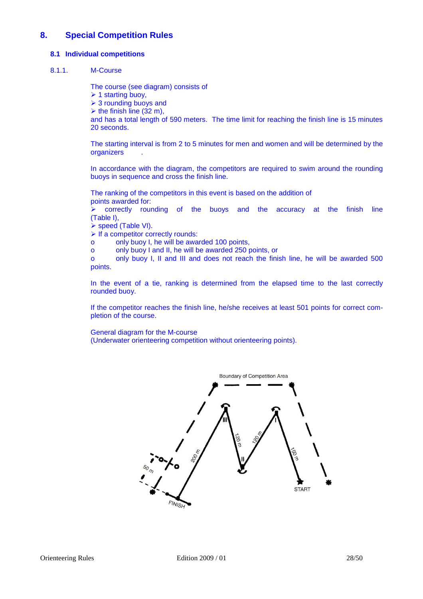## **8. Special Competition Rules**

## **8.1 Individual competitions**

## 8.1.1. M-Course

The course (see diagram) consists of

 $\geq 1$  starting buoy,

 $\geq 3$  rounding buoys and

 $\triangleright$  the finish line (32 m),

and has a total length of 590 meters. The time limit for reaching the finish line is 15 minutes 20 seconds.

The starting interval is from 2 to 5 minutes for men and women and will be determined by the **organizers** 

In accordance with the diagram, the competitors are required to swim around the rounding buoys in sequence and cross the finish line.

The ranking of the competitors in this event is based on the addition of points awarded for:

 $\ge$  correctly rounding of the buoys and the accuracy at the finish line (Table I),

- ▶ speed (Table VI).
- $\triangleright$  If a competitor correctly rounds:
- o only buoy I, he will be awarded 100 points,

o only buoy I and II, he will be awarded 250 points, or

o only buoy I, II and III and does not reach the finish line, he will be awarded 500 points.

In the event of a tie, ranking is determined from the elapsed time to the last correctly rounded buoy.

If the competitor reaches the finish line, he/she receives at least 501 points for correct completion of the course.

## General diagram for the M-course

(Underwater orienteering competition without orienteering points).

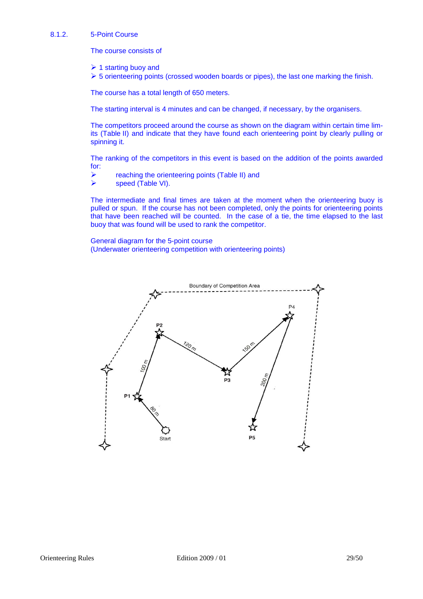#### 8.1.2. 5-Point Course

The course consists of

- $\geq 1$  starting buoy and
- $\triangleright$  5 orienteering points (crossed wooden boards or pipes), the last one marking the finish.

The course has a total length of 650 meters.

The starting interval is 4 minutes and can be changed, if necessary, by the organisers.

The competitors proceed around the course as shown on the diagram within certain time limits (Table II) and indicate that they have found each orienteering point by clearly pulling or spinning it.

The ranking of the competitors in this event is based on the addition of the points awarded for:

- **Example 2** reaching the orienteering points (Table II) and
- $\triangleright$  speed (Table VI).

The intermediate and final times are taken at the moment when the orienteering buoy is pulled or spun. If the course has not been completed, only the points for orienteering points that have been reached will be counted. In the case of a tie, the time elapsed to the last buoy that was found will be used to rank the competitor.

General diagram for the 5-point course (Underwater orienteering competition with orienteering points)

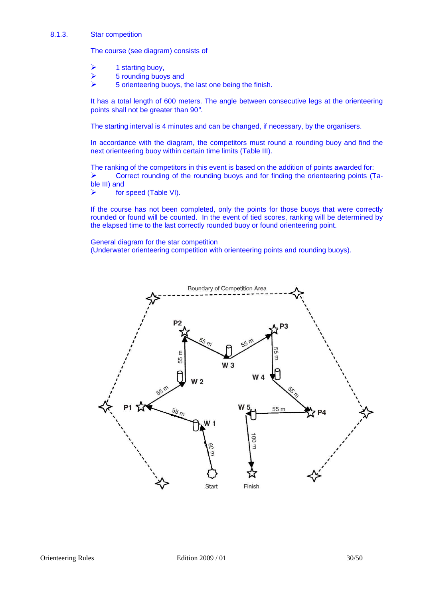#### 8.1.3. Star competition

The course (see diagram) consists of

- 1 starting buoy,
- 5 rounding buoys and
- 5 orienteering buoys, the last one being the finish.

It has a total length of 600 meters. The angle between consecutive legs at the orienteering points shall not be greater than 90°.

The starting interval is 4 minutes and can be changed, if necessary, by the organisers.

In accordance with the diagram, the competitors must round a rounding buoy and find the next orienteering buoy within certain time limits (Table III).

The ranking of the competitors in this event is based on the addition of points awarded for: Correct rounding of the rounding buoys and for finding the orienteering points (Table III) and

▶ for speed (Table VI).

If the course has not been completed, only the points for those buoys that were correctly rounded or found will be counted. In the event of tied scores, ranking will be determined by the elapsed time to the last correctly rounded buoy or found orienteering point.

General diagram for the star competition

(Underwater orienteering competition with orienteering points and rounding buoys).

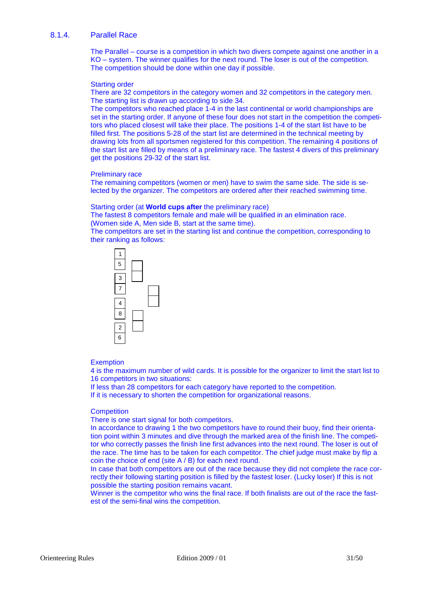## 8.1.4. Parallel Race

The Parallel – course is a competition in which two divers compete against one another in a KO – system. The winner qualifies for the next round. The loser is out of the competition. The competition should be done within one day if possible.

#### Starting order

There are 32 competitors in the category women and 32 competitors in the category men. The starting list is drawn up according to side 34.

The competitors who reached place 1-4 in the last continental or world championships are set in the starting order. If anyone of these four does not start in the competition the competitors who placed closest will take their place. The positions 1-4 of the start list have to be filled first. The positions 5-28 of the start list are determined in the technical meeting by drawing lots from all sportsmen registered for this competition. The remaining 4 positions of the start list are filled by means of a preliminary race. The fastest 4 divers of this preliminary get the positions 29-32 of the start list.

#### Preliminary race

The remaining competitors (women or men) have to swim the same side. The side is selected by the organizer. The competitors are ordered after their reached swimming time.

#### Starting order (at **World cups after** the preliminary race)

The fastest 8 competitors female and male will be qualified in an elimination race. (Women side A, Men side B, start at the same time).

The competitors are set in the starting list and continue the competition, corresponding to their ranking as follows:



## **Exemption**

4 is the maximum number of wild cards. It is possible for the organizer to limit the start list to 16 competitors in two situations:

If less than 28 competitors for each category have reported to the competition.

If it is necessary to shorten the competition for organizational reasons.

#### **Competition**

There is one start signal for both competitors.

In accordance to drawing 1 the two competitors have to round their buoy, find their orientation point within 3 minutes and dive through the marked area of the finish line. The competitor who correctly passes the finish line first advances into the next round. The loser is out of the race. The time has to be taken for each competitor. The chief judge must make by flip a coin the choice of end (site A / B) for each next round.

In case that both competitors are out of the race because they did not complete the race correctly their following starting position is filled by the fastest loser. (Lucky loser) If this is not possible the starting position remains vacant.

Winner is the competitor who wins the final race. If both finalists are out of the race the fastest of the semi-final wins the competition.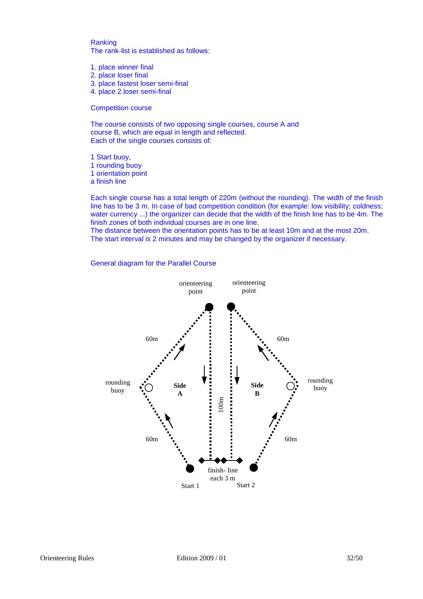Ranking The rank-list is established as follows:

- 1. place winner final
- 2. place loser final
- 3. place fastest loser semi-final
- 4. place 2.loser semi-final

Competition course

The course consists of two opposing single courses, course A and course B, which are equal in length and reflected. Each of the single courses consists of:

1 Start buoy, 1 rounding buoy 1 orientation point a finish line

Each single course has a total length of 220m (without the rounding). The width of the finish line has to be 3 m. In case of bad competition condition (for example: low visibility; coldness; water currency ...) the organizer can decide that the width of the finish line has to be 4m. The finish zones of both individual courses are in one line.

The distance between the orientation points has to be at least 10m and at the most 20m. The start interval is 2 minutes and may be changed by the organizer if necessary.

General diagram for the Parallel Course

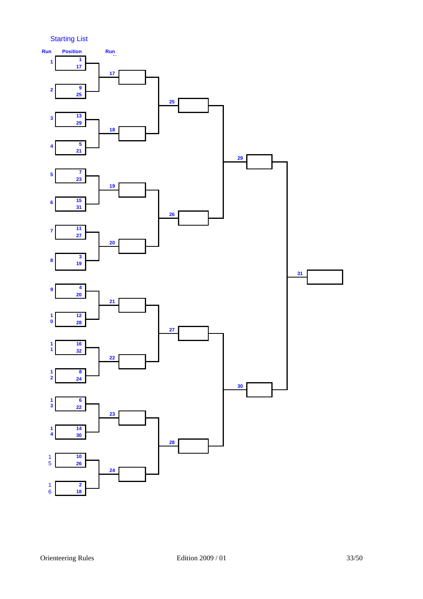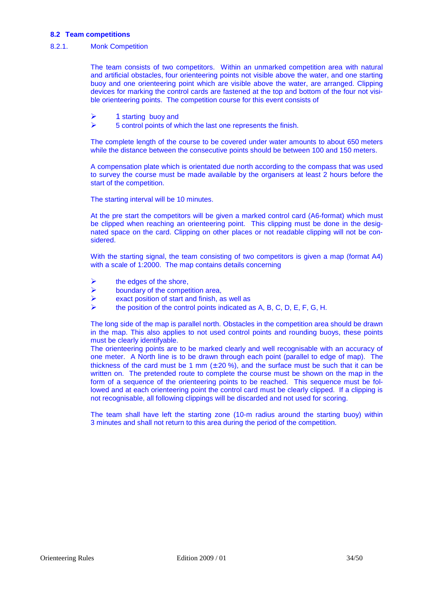## **8.2 Team competitions**

## 8.2.1. Monk Competition

The team consists of two competitors. Within an unmarked competition area with natural and artificial obstacles, four orienteering points not visible above the water, and one starting buoy and one orienteering point which are visible above the water, are arranged. Clipping devices for marking the control cards are fastened at the top and bottom of the four not visible orienteering points. The competition course for this event consists of

- $\geq$  1 starting buoy and<br> $\geq$  5 control points of w
- 5 control points of which the last one represents the finish.

The complete length of the course to be covered under water amounts to about 650 meters while the distance between the consecutive points should be between 100 and 150 meters.

A compensation plate which is orientated due north according to the compass that was used to survey the course must be made available by the organisers at least 2 hours before the start of the competition.

The starting interval will be 10 minutes.

At the pre start the competitors will be given a marked control card (A6-format) which must be clipped when reaching an orienteering point. This clipping must be done in the designated space on the card. Clipping on other places or not readable clipping will not be considered.

With the starting signal, the team consisting of two competitors is given a map (format A4) with a scale of 1:2000. The map contains details concerning

- $\triangleright$  the edges of the shore,
- $\triangleright$  boundary of the competition area,
- $\triangleright$  exact position of start and finish, as well as
- the position of the control points indicated as A, B, C, D, E, F, G, H.

The long side of the map is parallel north. Obstacles in the competition area should be drawn in the map. This also applies to not used control points and rounding buoys, these points must be clearly identifyable.

The orienteering points are to be marked clearly and well recognisable with an accuracy of one meter. A North line is to be drawn through each point (parallel to edge of map). The thickness of the card must be 1 mm  $(\pm 20\%)$ , and the surface must be such that it can be written on. The pretended route to complete the course must be shown on the map in the form of a sequence of the orienteering points to be reached. This sequence must be followed and at each orienteering point the control card must be clearly clipped. If a clipping is not recognisable, all following clippings will be discarded and not used for scoring.

The team shall have left the starting zone (10-m radius around the starting buoy) within 3 minutes and shall not return to this area during the period of the competition.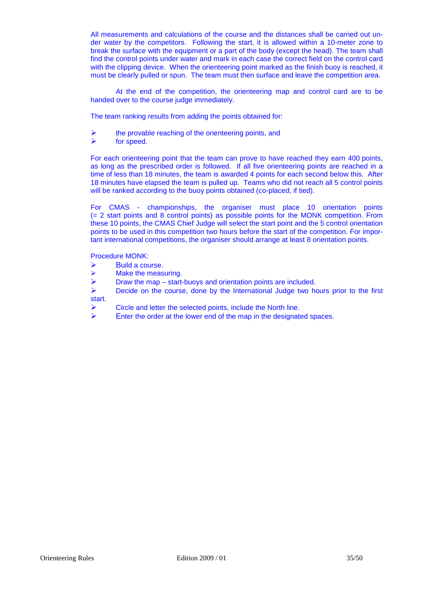All measurements and calculations of the course and the distances shall be carried out under water by the competitors. Following the start, it is allowed within a 10-meter zone to break the surface with the equipment or a part of the body (except the head). The team shall find the control points under water and mark in each case the correct field on the control card with the clipping device. When the orienteering point marked as the finish buoy is reached, it must be clearly pulled or spun. The team must then surface and leave the competition area.

 At the end of the competition, the orienteering map and control card are to be handed over to the course judge immediately.

The team ranking results from adding the points obtained for:

 $\triangleright$  the provable reaching of the orienteering points, and

 $\triangleright$  for speed.

For each orienteering point that the team can prove to have reached they earn 400 points, as long as the prescribed order is followed. If all five orienteering points are reached in a time of less than 18 minutes, the team is awarded 4 points for each second below this. After 18 minutes have elapsed the team is pulled up. Teams who did not reach all 5 control points will be ranked according to the buoy points obtained (co-placed, if tied).

For CMAS - championships, the organiser must place 10 orientation points (= 2 start points and 8 control points) as possible points for the MONK competition. From these 10 points, the CMAS Chief Judge will select the start point and the 5 control orientation points to be used in this competition two hours before the start of the competition. For important international competitions, the organiser should arrange at least 8 orientation points.

Procedure MONK:

- Build a course.
- $\triangleright$  Make the measuring.
- $\triangleright$  Draw the map start-buoys and orientation points are included.

 $\triangleright$  Decide on the course, done by the International Judge two hours prior to the first start.

- Circle and letter the selected points, include the North line.
- $\triangleright$  Enter the order at the lower end of the map in the designated spaces.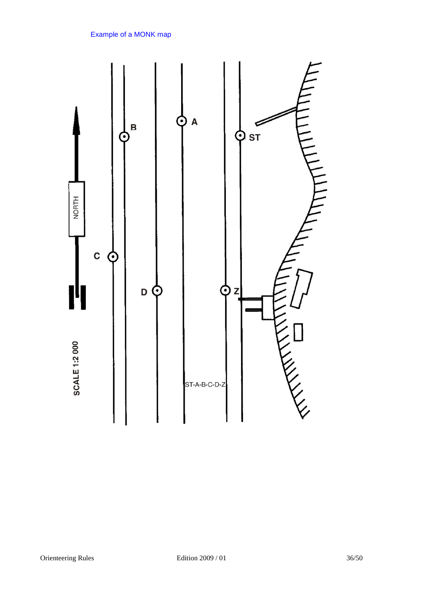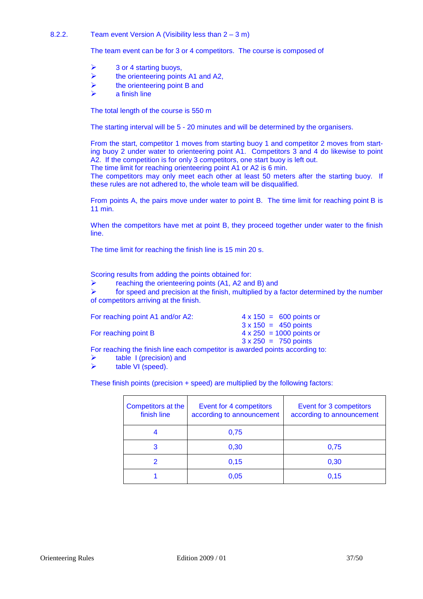## 8.2.2. Team event Version A (Visibility less than 2 – 3 m)

The team event can be for 3 or 4 competitors. The course is composed of

- $\geq$  3 or 4 starting buoys,
- $\triangleright$  the orienteering points A1 and A2,
- $\triangleright$  the orienteering point B and
- a finish line

The total length of the course is 550 m

The starting interval will be 5 - 20 minutes and will be determined by the organisers.

From the start, competitor 1 moves from starting buoy 1 and competitor 2 moves from starting buoy 2 under water to orienteering point A1. Competitors 3 and 4 do likewise to point A2. If the competition is for only 3 competitors, one start buoy is left out. The time limit for reaching orienteering point A1 or A2 is 6 min.

The competitors may only meet each other at least 50 meters after the starting buoy. If

these rules are not adhered to, the whole team will be disqualified.

From points A, the pairs move under water to point B. The time limit for reaching point B is 11 min.

When the competitors have met at point B, they proceed together under water to the finish line.

The time limit for reaching the finish line is 15 min 20 s.

Scoring results from adding the points obtained for:

reaching the orienteering points (A1, A2 and B) and<br>  $\triangleright$  for speed and precision at the finish multiplied by a

 for speed and precision at the finish, multiplied by a factor determined by the number of competitors arriving at the finish.

| For reaching point A1 and/or A2:                                             | $4 \times 150 = 600$ points or  |
|------------------------------------------------------------------------------|---------------------------------|
|                                                                              | $3 \times 150 = 450$ points     |
| For reaching point B                                                         | $4 \times 250 = 1000$ points or |
|                                                                              | $3 \times 250 = 750$ points     |
| For reaching the finish line each competitor is awarded points according to: |                                 |

- $\triangleright$  table I (precision) and
- table VI (speed).

These finish points (precision + speed) are multiplied by the following factors:

| Competitors at the<br>finish line | Event for 4 competitors<br>according to announcement | Event for 3 competitors<br>according to announcement |
|-----------------------------------|------------------------------------------------------|------------------------------------------------------|
|                                   | 0,75                                                 |                                                      |
| 3                                 | 0,30                                                 | 0,75                                                 |
|                                   | 0,15                                                 | 0,30                                                 |
|                                   | 0,05                                                 | 0.15                                                 |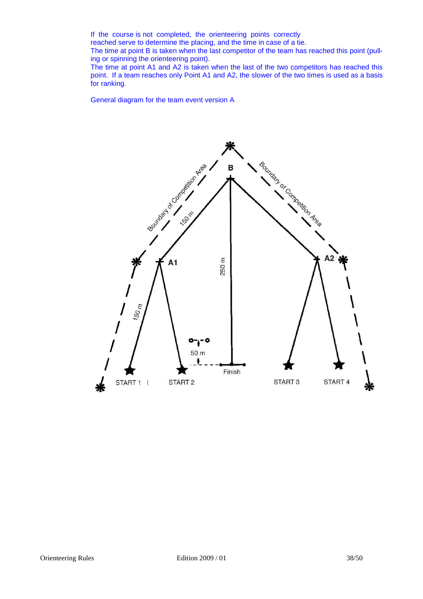If the course is not completed, the orienteering points correctly reached serve to determine the placing, and the time in case of a tie. The time at point B is taken when the last competitor of the team has reached this point (pulling or spinning the orienteering point).

The time at point A1 and A2 is taken when the last of the two competitors has reached this point. If a team reaches only Point A1 and A2, the slower of the two times is used as a basis for ranking.

General diagram for the team event version A

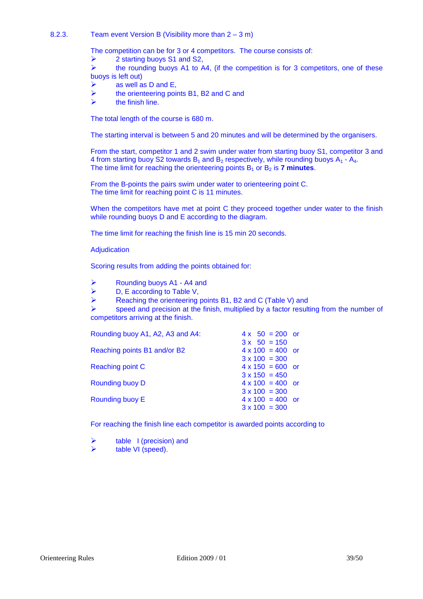## 8.2.3. Team event Version B (Visibility more than 2 – 3 m)

The competition can be for 3 or 4 competitors. The course consists of:

 $\triangleright$  2 starting buoys S1 and S2,

 $\triangleright$  the rounding buoys A1 to A4, (if the competition is for 3 competitors, one of these buoys is left out)

- $\triangleright$  as well as D and E,
- the orienteering points B1, B2 and C and
- the finish line.

The total length of the course is 680 m.

The starting interval is between 5 and 20 minutes and will be determined by the organisers.

From the start, competitor 1 and 2 swim under water from starting buoy S1, competitor 3 and 4 from starting buoy S2 towards  $B_1$  and  $B_2$  respectively, while rounding buoys  $A_1 - A_4$ . The time limit for reaching the orienteering points  $B_1$  or  $B_2$  is **7 minutes**.

From the B-points the pairs swim under water to orienteering point C. The time limit for reaching point C is 11 minutes.

When the competitors have met at point C they proceed together under water to the finish while rounding buoys D and E according to the diagram.

The time limit for reaching the finish line is 15 min 20 seconds.

Adjudication

Scoring results from adding the points obtained for:

Rounding buoys A1 - A4 and

- $\triangleright$  D, E according to Table V,
- Reaching the orienteering points B1, B2 and C (Table V) and

 $\triangleright$  speed and precision at the finish, multiplied by a factor resulting from the number of competitors arriving at the finish.

| Rounding buoy A1, A2, A3 and A4: | $4 \times 50 = 200$ or  |
|----------------------------------|-------------------------|
|                                  | $3x$ 50 = 150           |
| Reaching points B1 and/or B2     | $4 \times 100 = 400$ or |
|                                  | $3 \times 100 = 300$    |
| Reaching point C                 | $4 \times 150 = 600$ or |
|                                  | $3 \times 150 = 450$    |
| Rounding buoy D                  | $4 \times 100 = 400$ or |
|                                  | $3 \times 100 = 300$    |
| <b>Rounding buoy E</b>           | $4 \times 100 = 400$ or |
|                                  | $3 \times 100 = 300$    |

For reaching the finish line each competitor is awarded points according to

table I (precision) and

table VI (speed).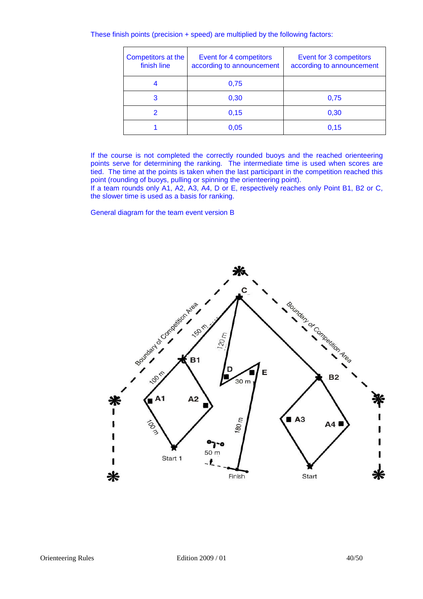These finish points (precision + speed) are multiplied by the following factors:

| Competitors at the<br>Event for 4 competitors<br>finish line<br>according to announcement |      | Event for 3 competitors<br>according to announcement |  |
|-------------------------------------------------------------------------------------------|------|------------------------------------------------------|--|
|                                                                                           | 0,75 |                                                      |  |
| 3                                                                                         | 0,30 | 0,75                                                 |  |
|                                                                                           | 0,15 | 0,30                                                 |  |
|                                                                                           | 0,05 | 0.15                                                 |  |

If the course is not completed the correctly rounded buoys and the reached orienteering points serve for determining the ranking. The intermediate time is used when scores are tied. The time at the points is taken when the last participant in the competition reached this point (rounding of buoys, pulling or spinning the orienteering point).

If a team rounds only A1, A2, A3, A4, D or E, respectively reaches only Point B1, B2 or C, the slower time is used as a basis for ranking.

General diagram for the team event version B

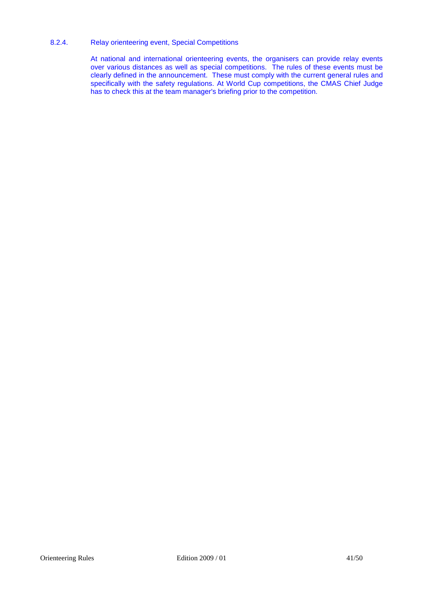## 8.2.4. Relay orienteering event, Special Competitions

At national and international orienteering events, the organisers can provide relay events over various distances as well as special competitions. The rules of these events must be clearly defined in the announcement. These must comply with the current general rules and specifically with the safety regulations. At World Cup competitions, the CMAS Chief Judge has to check this at the team manager's briefing prior to the competition.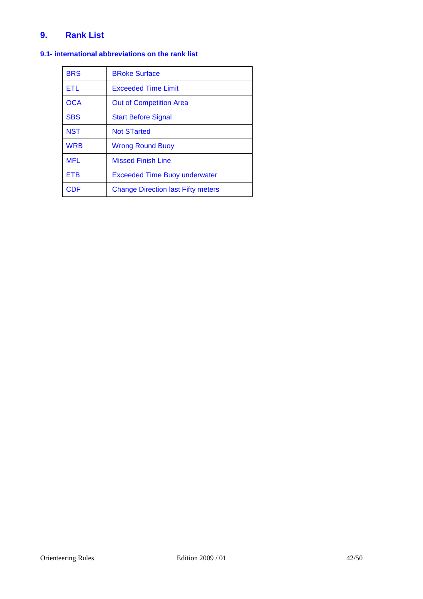# **9. Rank List**

# **9.1- international abbreviations on the rank list**

| <b>BRS</b> | <b>BRoke Surface</b>                      |
|------------|-------------------------------------------|
| <b>ETL</b> | <b>Exceeded Time Limit</b>                |
| OCA        | <b>Out of Competition Area</b>            |
| <b>SBS</b> | <b>Start Before Signal</b>                |
| <b>NST</b> | <b>Not STarted</b>                        |
| <b>WRB</b> | <b>Wrong Round Buoy</b>                   |
| <b>MFL</b> | <b>Missed Finish Line</b>                 |
| <b>ETB</b> | <b>Exceeded Time Buoy underwater</b>      |
| CDE        | <b>Change Direction last Fifty meters</b> |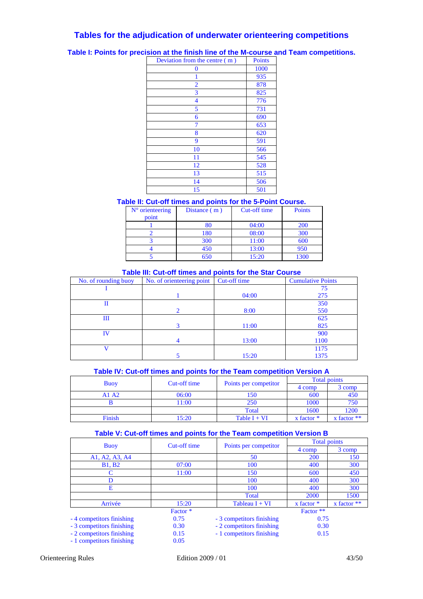## **Tables for the adjudication of underwater orienteering competitions**

**Table I: Points for precision at the finish line of the M-course and Team competitions.** 

| Deviation from the centre (m) | <b>Points</b> |
|-------------------------------|---------------|
| 0                             | 1000          |
| 1                             | 935           |
| $\overline{2}$                | 878           |
| 3                             | 825           |
| $\overline{\mathcal{A}}$      | 776           |
| 5                             | 731           |
| 6                             | 690           |
| 7                             | 653           |
| 8                             | 620           |
| 9                             | 591           |
| 10                            | 566           |
| 11                            | 545           |
| 12                            | 528           |
| 13                            | 515           |
| 14                            | 506           |
| 15                            | 501           |

## **Table II: Cut-off times and points for the 5-Point Course.**

| $N°$ orienteering | Distance $(m)$ | Cut-off time | <b>Points</b> |
|-------------------|----------------|--------------|---------------|
| point             |                |              |               |
|                   | 80             | 04:00        | <b>200</b>    |
|                   | 180            | 08:00        | 300           |
|                   | 300            | 11:00        | 600           |
|                   | 450            | 13:00        | 950           |
|                   | 650            | 15:20        | 1300          |

## **Table III: Cut-off times and points for the Star Course**

| No. of rounding buoy | No. of orienteering point | Cut-off time | <b>Cumulative Points</b> |
|----------------------|---------------------------|--------------|--------------------------|
|                      |                           |              | 75                       |
|                      |                           | 04:00        | 275                      |
| П                    |                           |              | 350                      |
|                      | $\mathcal{D}_{\cdot}$     | 8:00         | 550                      |
| Ш                    |                           |              | 625                      |
|                      |                           | 11:00        | 825                      |
| IV                   |                           |              | 900                      |
|                      |                           | 13:00        | 1100                     |
|                      |                           |              | 1175                     |
|                      |                           | 15:20        | 1375                     |

## **Table IV: Cut-off times and points for the Team competition Version A**

|             | Cut-off time<br>Points per competitor |                | <b>Total points</b> |                 |
|-------------|---------------------------------------|----------------|---------------------|-----------------|
| <b>Buoy</b> |                                       |                | 4 comp              | 3 comp          |
| A1 A2       | 06:00                                 | l 50           | 600                 | 450             |
|             | 11:00                                 | 250            | 1000                | 750             |
|             |                                       | Total          | 1600                | 1200            |
| Finish      | 15:20                                 | Table $I + VI$ | x factor $*$        | $x$ factor $**$ |

## **Table V: Cut-off times and points for the Team competition Version B**

|                           | Cut-off time |                           | <b>Total points</b> |                 |  |  |
|---------------------------|--------------|---------------------------|---------------------|-----------------|--|--|
| <b>Buoy</b>               |              | Points per competitor     | 4 comp              | 3 comp          |  |  |
| A1, A2, A3, A4            |              | 50                        | <b>200</b>          | 150             |  |  |
| <b>B1, B2</b>             | 07:00        | 100                       | 400                 | 300             |  |  |
| C                         | 11:00        | 150                       | 600                 | 450             |  |  |
| D                         |              | 100                       | 400                 | 300             |  |  |
| Е                         |              | 100                       | 400                 | 300             |  |  |
|                           |              | Total                     | <b>2000</b>         | 1500            |  |  |
| Arrivée                   | 15:20        | Tableau $I + VI$          | $x$ factor $*$      | $x$ factor $**$ |  |  |
|                           | Factor *     |                           | Factor **           |                 |  |  |
| - 4 competitors finishing | 0.75         | - 3 competitors finishing | 0.75                |                 |  |  |
| - 3 competitors finishing | 0.30         | - 2 competitors finishing | 0.30                |                 |  |  |
| - 2 competitors finishing | 0.15         | - 1 competitors finishing | 0.15                |                 |  |  |
| - 1 competitors finishing | 0.05         |                           |                     |                 |  |  |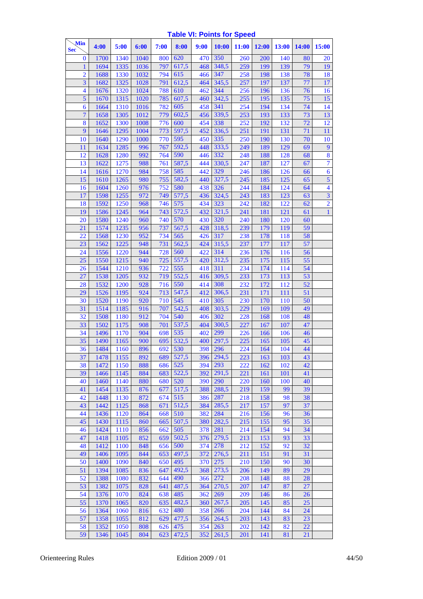## **Table VI: Points for Speed**

| Min<br>Sec       |                | 4:00         | 5:00         | 6:00       | 7:00       | 8:00         | 9:00       | 10:00        | 11:00      | 12:00      | 13:00      | <b>14:00</b> | 15:00                    |
|------------------|----------------|--------------|--------------|------------|------------|--------------|------------|--------------|------------|------------|------------|--------------|--------------------------|
| $\bf{0}$         |                | 1700         | 1340         | 1040       | 800        | 620          | 470        | 350          | 260        | 200        | 140        | 80           | 20                       |
| 1                |                | 1694         | 1335         | 1036       | 797        | 617,5        | 468        | 348,5        | 259        | 199        | 139        | 79           | 19                       |
|                  | $\overline{2}$ | 1688         | 1330         | 1032       | 794        | 615          | 466        | 347          | 258        | 198        | 138        | 78           | 18                       |
|                  | 3              | 1682         | 1325         | 1028       | 791        | 612,5        | 464        | 345,5        | 257        | 197        | 137        | 77           | 17                       |
| $\overline{4}$   |                | 1676         | 1320         | 1024       | 788        | 610          | 462        | 344          | 256        | 196        | 136        | 76           | 16                       |
| $\overline{5}$   |                | 1670         | 1315         | 1020       | 785        | 607,5        | 460        | 342,5        | 255        | 195        | 135        | 75           | 15                       |
| $\boldsymbol{6}$ |                | 1664         | 1310         | 1016       | 782        | 605          | 458        | 341          | 254        | 194        | 134        | 74           | 14                       |
| $\overline{7}$   |                | 1658         | 1305         | 1012       | 779        | 602,5        | 456        | 339,5        | 253        | 193        | 133        | 73           | 13                       |
| 8                |                | 1652         | 1300         | 1008       | 776        | 600          | 454        | 338          | 252        | 192        | 132        | 72           | 12                       |
|                  | 9              | 1646         | 1295         | 1004       | 773        | 597,5        | 452        | 336,5        | 251        | 191        | 131        | 71           | 11                       |
| 10               |                | 1640         | 1290         | 1000       | 770        | 595          | 450        | 335          | 250        | 190        | 130        | 70           | 10                       |
| 11               |                | 1634         | 1285         | 996        | 767        | 592,5        | 448        | 333,5        | 249        | 189        | 129        | 69           | $\overline{9}$           |
| 12               |                | 1628         | 1280         | 992        | 764        | 590<br>587,5 | 446        | 332<br>330,5 | 248        | 188        | 128        | 68           | 8<br>$\overline{7}$      |
| 13<br>14         |                | 1622<br>1616 | 1275<br>1270 | 988<br>984 | 761<br>758 | 585          | 444<br>442 | 329          | 247<br>246 | 187<br>186 | 127<br>126 | 67<br>66     | $\boldsymbol{6}$         |
| 15               |                | 1610         | 1265         | 980        | 755        | 582,5        | 440        | 327,5        | 245        | 185        | 125        | 65           | 5                        |
| 16               |                | 1604         | 1260         | 976        | 752        | 580          | 438        | 326          | 244        | 184        | 124        | 64           | $\overline{\mathcal{A}}$ |
| 17               |                | 1598         | 1255         | 972        | 749        | 577,5        | 436        | 324,5        | 243        | 183        | 123        | 63           | $\overline{\mathbf{3}}$  |
| 18               |                | 1592         | 1250         | 968        | 746        | 575          | 434        | 323          | 242        | 182        | 122        | 62           | $\overline{2}$           |
| 19               |                | 1586         | 1245         | 964        | 743        | 572,5        | 432        | 321,5        | 241        | 181        | 121        | 61           | $\mathbf{1}$             |
| 20               |                | 1580         | 1240         | 960        | 740        | 570          | 430        | 320          | 240        | 180        | 120        | 60           |                          |
| 21               |                | 1574         | 1235         | 956        | 737        | 567,5        | 428        | 318,5        | 239        | 179        | 119        | 59           |                          |
| 22               |                | 1568         | 1230         | 952        | 734        | 565          | 426        | 317          | 238        | 178        | 118        | 58           |                          |
| 23               |                | 1562         | 1225         | 948        | 731        | 562,5        | 424        | 315,5        | 237        | 177        | 117        | 57           |                          |
| 24               |                | 1556         | 1220         | 944        | 728        | 560          | 422        | 314          | 236        | 176        | 116        | 56           |                          |
| 25               |                | 1550         | 1215         | 940        | 725        | 557,5        | 420        | 312,5        | 235        | 175        | 115        | 55           |                          |
| 26               |                | 1544         | 1210         | 936        | 722        | 555          | 418        | 311          | 234        | 174        | 114        | 54           |                          |
| 27               |                | 1538         | 1205         | 932        | 719        | 552,5        | 416        | 309,5        | 233        | 173        | 113        | 53           |                          |
| 28               |                | 1532         | 1200         | 928        | 716        | 550          | 414        | 308          | 232        | 172        | 112        | 52           |                          |
| 29               |                | 1526         | 1195         | 924        | 713        | 547,5        | 412        | 306,5        | 231        | 171        | 111        | 51           |                          |
| 30               |                | 1520         | 1190         | 920        | 710        | 545          | 410        | 305          | 230        | 170        | 110        | 50           |                          |
| 31               |                | 1514         | 1185         | 916        | 707        | 542,5        | 408        | 303,5        | 229        | 169        | 109        | 49           |                          |
| 32<br>33         |                | 1508<br>1502 | 1180         | 912<br>908 | 704<br>701 | 540<br>537,5 | 406<br>404 | 302<br>300,5 | 228<br>227 | 168<br>167 | 108<br>107 | 48<br>47     |                          |
| 34               |                | 1496         | 1175<br>1170 | 904        | 698        | 535          | 402        | 299          | 226        | 166        | 106        | 46           |                          |
| 35               |                | 1490         | 1165         | 900        | 695        | 532,5        | 400        | 297,5        | 225        | 165        | 105        | 45           |                          |
| 36               |                | 1484         | 1160         | 896        | 692        | 530          | 398        | 296          | 224        | 164        | 104        | 44           |                          |
| 37               |                | 1478         | 1155         | 892        |            | 689 527,5    |            | 396 294,5    | 223        | 163        | 103        | 43           |                          |
| 38               |                | 1472         | 1150         | 888        | 686        | 525          | 394        | 293          | 222        | 162        | 102        | 42           |                          |
| 39               |                | 1466         | 1145         | 884        | 683        | 522,5        | 392        | 291,5        | 221        | 161        | 101        | 41           |                          |
| 40               |                | 1460         | 1140         | 880        | 680        | 520          | 390        | 290          | 220        | 160        | 100        | 40           |                          |
| 41               |                | 1454         | 1135         | 876        | 677        | 517,5        | 388        | 288,5        | 219        | 159        | 99         | 39           |                          |
| 42               |                | 1448         | 1130         | 872        | 674        | 515          | 386        | 287          | 218        | 158        | 98         | 38           |                          |
| 43               |                | 1442         | 1125         | 868        | 671        | 512,5        | 384        | 285,5        | 217        | 157        | 97         | 37           |                          |
| 44               |                | 1436         | 1120         | 864        | 668        | 510          | 382        | 284          | 216        | 156        | 96         | 36           |                          |
| 45               |                | 1430         | 1115         | 860        | 665        | 507,5        | 380        | 282,5        | 215        | 155        | 95         | 35           |                          |
| 46               |                | 1424         | 1110         | 856        | 662        | 505          | 378        | 281          | 214        | 154        | 94         | 34           |                          |
| 47               |                | 1418         | 1105         | 852        | 659        | 502,5        | 376        | 279,5        | 213        | 153        | 93         | 33           |                          |
| 48               |                | 1412         | 1100         | 848        | 656        | 500          | 374        | 278          | 212        | 152        | 92         | 32           |                          |
| 49<br>50         |                | 1406<br>1400 | 1095         | 844        | 653        | 497,5<br>495 | 372        | 276,5        | 211<br>210 | 151        | 91         | 31<br>30     |                          |
| 51               |                | 1394         | 1090<br>1085 | 840<br>836 | 650<br>647 | 492,5        | 370<br>368 | 275<br>273,5 | 206        | 150<br>149 | 90<br>89   | 29           |                          |
| 52               |                | 1388         | 1080         | 832        | 644        | 490          | 366        | 272          | 208        | 148        | 88         | 28           |                          |
| 53               |                | 1382         | 1075         | 828        | 641        | 487,5        | 364        | 270,5        | 207        | 147        | 87         | 27           |                          |
| 54               |                | 1376         | 1070         | 824        | 638        | 485          | 362        | 269          | 209        | 146        | 86         | 26           |                          |
| 55               |                | 1370         | 1065         | 820        | 635        | 482,5        | 360        | 267,5        | 205        | 145        | 85         | 25           |                          |
| 56               |                | 1364         | 1060         | 816        | 632        | 480          | 358        | 266          | 204        | 144        | 84         | 24           |                          |
| 57               |                | 1358         | 1055         | 812        | 629        | 477,5        | 356        | 264,5        | 203        | 143        | 83         | 23           |                          |
| 58               |                | 1352         | 1050         | 808        | 626        | 475          | 354        | 263          | 202        | 142        | 82         | 22           |                          |
| 59               |                | 1346         | 1045         | 804        | 623        | 472,5        | 352        | 261,5        | 201        | 141        | 81         | 21           |                          |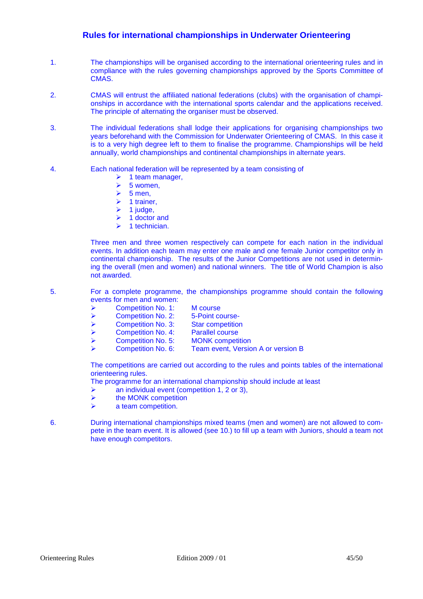## **Rules for international championships in Underwater Orienteering**

- 1. The championships will be organised according to the international orienteering rules and in compliance with the rules governing championships approved by the Sports Committee of CMAS.
- 2. CMAS will entrust the affiliated national federations (clubs) with the organisation of championships in accordance with the international sports calendar and the applications received. The principle of alternating the organiser must be observed.
- 3. The individual federations shall lodge their applications for organising championships two years beforehand with the Commission for Underwater Orienteering of CMAS. In this case it is to a very high degree left to them to finalise the programme. Championships will be held annually, world championships and continental championships in alternate years.
- 4. Each national federation will be represented by a team consisting of
	- $\triangleright$  1 team manager,
	- $\geq 5$  women,<br> $\geq 5$  men.
	- 5 men,
	- $\triangleright$  1 trainer.
	- $\geq 1$  judge.
	- $\triangleright$  1 doctor and
	- $\geq 1$  technician.

Three men and three women respectively can compete for each nation in the individual events. In addition each team may enter one male and one female Junior competitor only in continental championship. The results of the Junior Competitions are not used in determining the overall (men and women) and national winners. The title of World Champion is also not awarded.

- 5. For a complete programme, the championships programme should contain the following events for men and women:
	- ▶ Competition No. 1: M course
	- **EXECOMPETED POINT COMPETED POINT COURSE-**
	-
	- ► Competition No. 3: Star competition<br/>\n▶ Competition No. 4: Parallel course
	- $\triangleright$  Competition No. 4:
	- ▶ Competition No. 5: MONK competition
		- Competition No. 6: Team event, Version A or version B

The competitions are carried out according to the rules and points tables of the international orienteering rules.

The programme for an international championship should include at least

- $\triangleright$  an individual event (competition 1, 2 or 3),
- $\triangleright$  the MONK competition
- $\triangleright$  a team competition.
- 6. During international championships mixed teams (men and women) are not allowed to compete in the team event. It is allowed (see 10.) to fill up a team with Juniors, should a team not have enough competitors.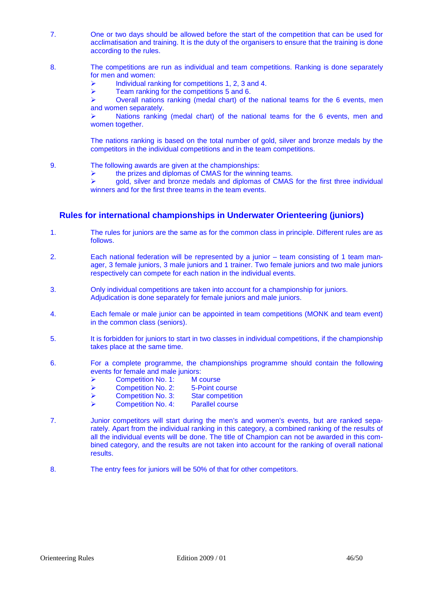- 7. One or two days should be allowed before the start of the competition that can be used for acclimatisation and training. It is the duty of the organisers to ensure that the training is done according to the rules.
- 8. The competitions are run as individual and team competitions. Ranking is done separately for men and women:
	- $\triangleright$  Individual ranking for competitions 1, 2, 3 and 4.
	- $\triangleright$  Team ranking for the competitions 5 and 6.

 Overall nations ranking (medal chart) of the national teams for the 6 events, men and women separately.

 Nations ranking (medal chart) of the national teams for the 6 events, men and women together.

The nations ranking is based on the total number of gold, silver and bronze medals by the competitors in the individual competitions and in the team competitions.

- 9. The following awards are given at the championships:
	- $\triangleright$  the prizes and diplomas of CMAS for the winning teams.

 $\triangleright$  gold, silver and bronze medals and diplomas of CMAS for the first three individual winners and for the first three teams in the team events.

## **Rules for international championships in Underwater Orienteering (juniors)**

- 1. The rules for juniors are the same as for the common class in principle. Different rules are as follows.
- 2. Each national federation will be represented by a junior team consisting of 1 team manager, 3 female juniors, 3 male juniors and 1 trainer. Two female juniors and two male juniors respectively can compete for each nation in the individual events.
- 3. Only individual competitions are taken into account for a championship for juniors. Adjudication is done separately for female juniors and male juniors.
- 4. Each female or male junior can be appointed in team competitions (MONK and team event) in the common class (seniors).
- 5. It is forbidden for juniors to start in two classes in individual competitions, if the championship takes place at the same time.
- 6. For a complete programme, the championships programme should contain the following events for female and male juniors:
	- **EXECOMPETED NO. 1:** M course
	- Competition No. 2: 5-Point course
	- ► <b>Competition No. 3: Star competition</b><br> <math display="inline">\triangleright</math> <b>Competition No. 4: Parallel course</b>
	- $\triangleright$  Competition No. 4:
- 7. Junior competitors will start during the men's and women's events, but are ranked separately. Apart from the individual ranking in this category, a combined ranking of the results of all the individual events will be done. The title of Champion can not be awarded in this combined category, and the results are not taken into account for the ranking of overall national results.
- 8. The entry fees for juniors will be 50% of that for other competitors.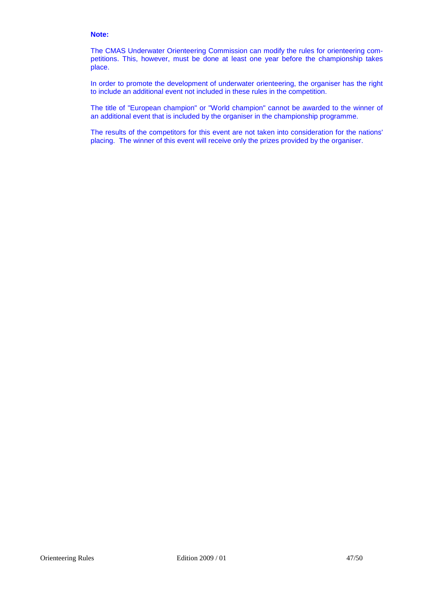#### **Note:**

The CMAS Underwater Orienteering Commission can modify the rules for orienteering competitions. This, however, must be done at least one year before the championship takes place.

In order to promote the development of underwater orienteering, the organiser has the right to include an additional event not included in these rules in the competition.

The title of "European champion" or "World champion" cannot be awarded to the winner of an additional event that is included by the organiser in the championship programme.

The results of the competitors for this event are not taken into consideration for the nations' placing. The winner of this event will receive only the prizes provided by the organiser.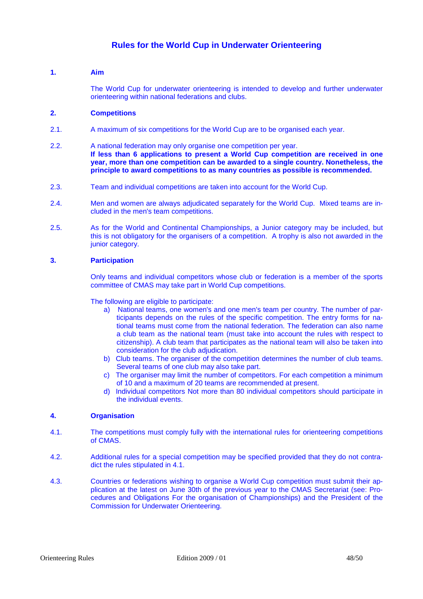## **Rules for the World Cup in Underwater Orienteering**

## **1. Aim**

The World Cup for underwater orienteering is intended to develop and further underwater orienteering within national federations and clubs.

## **2. Competitions**

- 2.1. A maximum of six competitions for the World Cup are to be organised each year.
- 2.2. A national federation may only organise one competition per year. **If less than 6 applications to present a World Cup competition are received in one year, more than one competition can be awarded to a single country. Nonetheless, the principle to award competitions to as many countries as possible is recommended.**
- 2.3. Team and individual competitions are taken into account for the World Cup.
- 2.4. Men and women are always adjudicated separately for the World Cup. Mixed teams are included in the men's team competitions.
- 2.5. As for the World and Continental Championships, a Junior category may be included, but this is not obligatory for the organisers of a competition. A trophy is also not awarded in the junior category.

## **3. Participation**

Only teams and individual competitors whose club or federation is a member of the sports committee of CMAS may take part in World Cup competitions.

The following are eligible to participate:

- a) National teams, one women's and one men's team per country. The number of participants depends on the rules of the specific competition. The entry forms for national teams must come from the national federation. The federation can also name a club team as the national team (must take into account the rules with respect to citizenship). A club team that participates as the national team will also be taken into consideration for the club adjudication.
- b) Club teams. The organiser of the competition determines the number of club teams. Several teams of one club may also take part.
- c) The organiser may limit the number of competitors. For each competition a minimum of 10 and a maximum of 20 teams are recommended at present.
- d) Individual competitors Not more than 80 individual competitors should participate in the individual events.

## **4. Organisation**

- 4.1. The competitions must comply fully with the international rules for orienteering competitions of CMAS.
- 4.2. Additional rules for a special competition may be specified provided that they do not contradict the rules stipulated in 4.1.
- 4.3. Countries or federations wishing to organise a World Cup competition must submit their application at the latest on June 30th of the previous year to the CMAS Secretariat (see: Procedures and Obligations For the organisation of Championships) and the President of the Commission for Underwater Orienteering.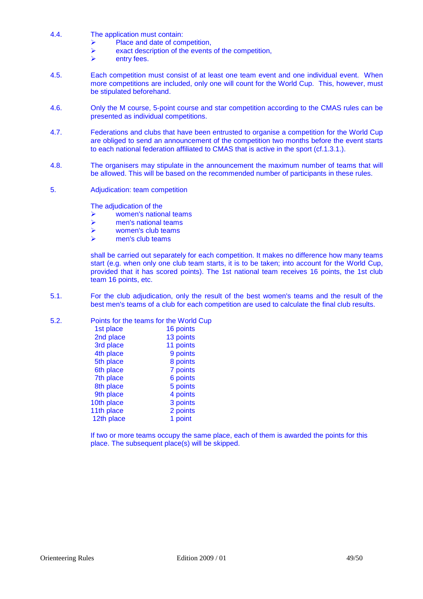- 4.4. The application must contain:
	- $\triangleright$  Place and date of competition.
	- $\triangleright$  exact description of the events of the competition,<br> $\triangleright$  entry fees
	- entry fees.
- 4.5. Each competition must consist of at least one team event and one individual event. When more competitions are included, only one will count for the World Cup. This, however, must be stipulated beforehand.
- 4.6. Only the M course, 5-point course and star competition according to the CMAS rules can be presented as individual competitions.
- 4.7. Federations and clubs that have been entrusted to organise a competition for the World Cup are obliged to send an announcement of the competition two months before the event starts to each national federation affiliated to CMAS that is active in the sport (cf.1.3.1.).
- 4.8. The organisers may stipulate in the announcement the maximum number of teams that will be allowed. This will be based on the recommended number of participants in these rules.
- 5. Adjudication: team competition

The adjudication of the

- women's national teams
- $\triangleright$  men's national teams
- $\triangleright$  women's club teams
- $\triangleright$  men's club teams

shall be carried out separately for each competition. It makes no difference how many teams start (e.g. when only one club team starts, it is to be taken; into account for the World Cup, provided that it has scored points). The 1st national team receives 16 points, the 1st club team 16 points, etc.

5.1. For the club adjudication, only the result of the best women's teams and the result of the best men's teams of a club for each competition are used to calculate the final club results.

## 5.2. Points for the teams for the World Cup

| 16 points |
|-----------|
| 13 points |
| 11 points |
| 9 points  |
| 8 points  |
| 7 points  |
| 6 points  |
| 5 points  |
| 4 points  |
| 3 points  |
| 2 points  |
| 1 point   |
|           |

If two or more teams occupy the same place, each of them is awarded the points for this place. The subsequent place(s) will be skipped.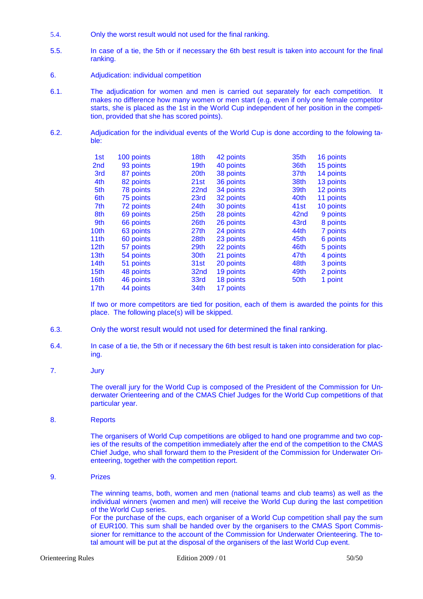- 5.4. Only the worst result would not used for the final ranking.
- 5.5. In case of a tie, the 5th or if necessary the 6th best result is taken into account for the final ranking.
- 6. Adjudication: individual competition
- 6.1. The adjudication for women and men is carried out separately for each competition. It makes no difference how many women or men start (e.g. even if only one female competitor starts, she is placed as the 1st in the World Cup independent of her position in the competition, provided that she has scored points).
- 6.2. Adjudication for the individual events of the World Cup is done according to the folowing table:

| 1st              | 100 points | 18th             | 42 points | 35th             | 16 points |
|------------------|------------|------------------|-----------|------------------|-----------|
| 2 <sub>nd</sub>  | 93 points  | 19 <sub>th</sub> | 40 points | 36th             | 15 points |
| 3rd              | 87 points  | 20th             | 38 points | 37th             | 14 points |
| 4th              | 82 points  | 21st             | 36 points | 38th             | 13 points |
| 5th              | 78 points  | 22 <sub>nd</sub> | 34 points | 39th             | 12 points |
| 6th              | 75 points  | 23rd             | 32 points | 40th             | 11 points |
| 7th              | 72 points  | 24 <sub>th</sub> | 30 points | 41st             | 10 points |
| 8th              | 69 points  | 25 <sub>th</sub> | 28 points | 42 <sub>nd</sub> | 9 points  |
| 9th              | 66 points  | 26 <sub>th</sub> | 26 points | 43rd             | 8 points  |
| 10th             | 63 points  | 27 <sub>th</sub> | 24 points | 44th             | 7 points  |
| 11th             | 60 points  | 28th             | 23 points | 45th             | 6 points  |
| 12 <sub>th</sub> | 57 points  | 29th             | 22 points | 46th             | 5 points  |
| 13 <sub>th</sub> | 54 points  | 30th             | 21 points | 47th             | 4 points  |
| 14 <sub>th</sub> | 51 points  | 31st             | 20 points | 48th             | 3 points  |
| 15 <sub>th</sub> | 48 points  | 32nd             | 19 points | 49th             | 2 points  |
| 16 <sub>th</sub> | 46 points  | 33rd             | 18 points | 50th             | 1 point   |
| 17 <sub>th</sub> | 44 points  | 34th             | 17 points |                  |           |

If two or more competitors are tied for position, each of them is awarded the points for this place. The following place(s) will be skipped.

- 6.3. Only the worst result would not used for determined the final ranking.
- 6.4. In case of a tie, the 5th or if necessary the 6th best result is taken into consideration for placing.
- 7. Jury

The overall jury for the World Cup is composed of the President of the Commission for Underwater Orienteering and of the CMAS Chief Judges for the World Cup competitions of that particular year.

8. Reports

The organisers of World Cup competitions are obliged to hand one programme and two copies of the results of the competition immediately after the end of the competition to the CMAS Chief Judge, who shall forward them to the President of the Commission for Underwater Orienteering, together with the competition report.

9. Prizes

The winning teams, both, women and men (national teams and club teams) as well as the individual winners (women and men) will receive the World Cup during the last competition of the World Cup series.

For the purchase of the cups, each organiser of a World Cup competition shall pay the sum of EUR100. This sum shall be handed over by the organisers to the CMAS Sport Commissioner for remittance to the account of the Commission for Underwater Orienteering. The total amount will be put at the disposal of the organisers of the last World Cup event.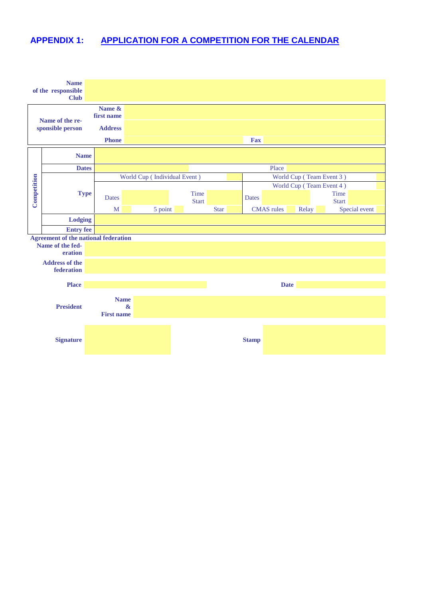# **APPENDIX 1: APPLICATION FOR A COMPETITION FOR THE CALENDAR**

|                                     | <b>Name</b><br>of the responsible<br><b>Club</b>                           |                                                       |                              |                      |             |                   |                          |                      |
|-------------------------------------|----------------------------------------------------------------------------|-------------------------------------------------------|------------------------------|----------------------|-------------|-------------------|--------------------------|----------------------|
| Name of the re-<br>sponsible person |                                                                            | Name &<br>first name<br><b>Address</b>                |                              |                      |             |                   |                          |                      |
|                                     |                                                                            | <b>Phone</b>                                          |                              |                      |             | Fax               |                          |                      |
|                                     | <b>Name</b>                                                                |                                                       |                              |                      |             |                   |                          |                      |
|                                     | <b>Dates</b>                                                               |                                                       |                              |                      |             | Place             |                          |                      |
|                                     |                                                                            |                                                       | World Cup (Individual Event) |                      |             |                   | World Cup (Team Event 3) |                      |
| Competition                         | <b>Type</b>                                                                | <b>Dates</b>                                          |                              | Time<br><b>Start</b> |             | <b>Dates</b>      | World Cup (Team Event 4) | Time<br><b>Start</b> |
|                                     |                                                                            | $\mathbf{M}$                                          | 5 point                      |                      | <b>Star</b> | <b>CMAS</b> rules | Relay                    | Special event        |
|                                     | <b>Lodging</b>                                                             |                                                       |                              |                      |             |                   |                          |                      |
|                                     | <b>Entry fee</b>                                                           |                                                       |                              |                      |             |                   |                          |                      |
|                                     | <b>Agreement of the national federation</b><br>Name of the fed-<br>eration |                                                       |                              |                      |             |                   |                          |                      |
|                                     | <b>Address of the</b><br>federation                                        |                                                       |                              |                      |             |                   |                          |                      |
|                                     | <b>Place</b>                                                               |                                                       |                              |                      |             |                   | <b>Date</b>              |                      |
|                                     | <b>President</b>                                                           | <b>Name</b><br>$\mathbf{\alpha}$<br><b>First name</b> |                              |                      |             |                   |                          |                      |
|                                     | <b>Signature</b>                                                           |                                                       |                              |                      |             | <b>Stamp</b>      |                          |                      |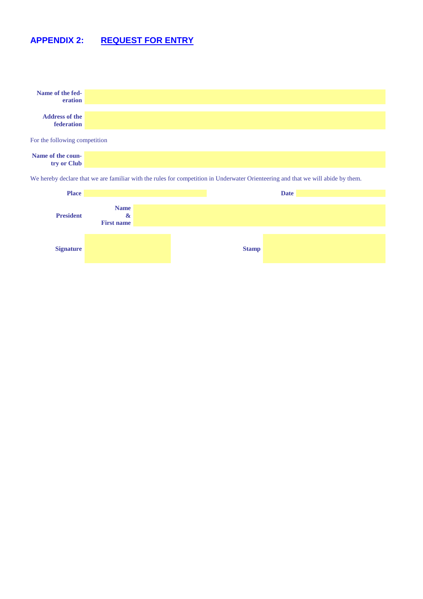# **APPENDIX 2: REQUEST FOR ENTRY**



**Signature Stamp**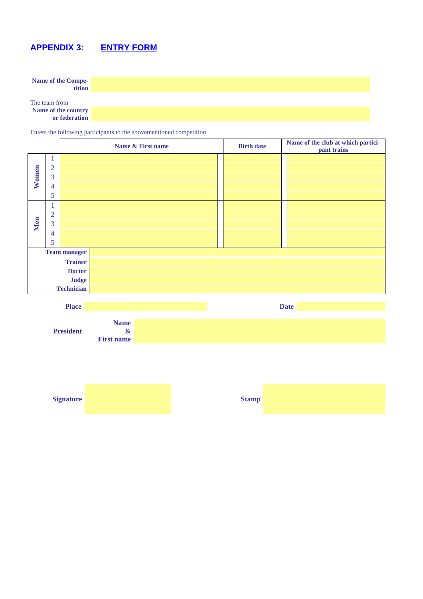# **APPENDIX 3: ENTRY FORM**

**Name of the Competition**

The team from **Name of the country or federation**

Enters the following participants to the abovementioned competition

|            |                |                     | Name & First name |  | <b>Birth date</b> | Name of the club at which partici-<br>pant trains |
|------------|----------------|---------------------|-------------------|--|-------------------|---------------------------------------------------|
|            |                |                     |                   |  |                   |                                                   |
|            | $\overline{2}$ |                     |                   |  |                   |                                                   |
| Women      | 3              |                     |                   |  |                   |                                                   |
|            | 4              |                     |                   |  |                   |                                                   |
|            | 5              |                     |                   |  |                   |                                                   |
|            | -1             |                     |                   |  |                   |                                                   |
|            | $\overline{2}$ |                     |                   |  |                   |                                                   |
| <b>Men</b> | 3              |                     |                   |  |                   |                                                   |
|            | 4              |                     |                   |  |                   |                                                   |
|            | 5              |                     |                   |  |                   |                                                   |
|            |                | <b>Team manager</b> |                   |  |                   |                                                   |
|            |                | <b>Trainer</b>      |                   |  |                   |                                                   |
|            | <b>Doctor</b>  |                     |                   |  |                   |                                                   |
|            | <b>Judge</b>   |                     |                   |  |                   |                                                   |
|            |                | <b>Technician</b>   |                   |  |                   |                                                   |
|            |                |                     |                   |  |                   |                                                   |



| <b>Signature</b> | <b>Stamp</b> |  |
|------------------|--------------|--|
|                  |              |  |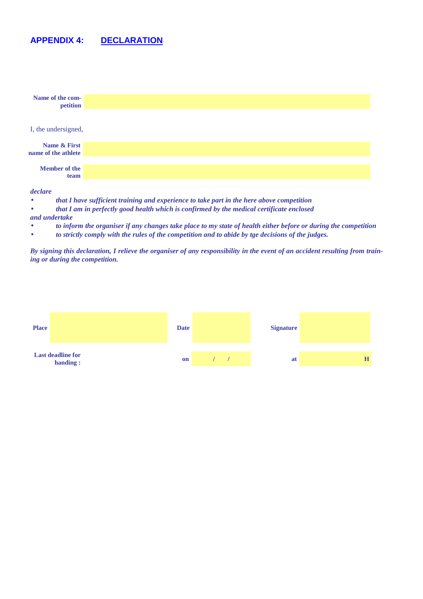# **APPENDIX 4: DECLARATION**

| Name of the com-<br>petition        |  |
|-------------------------------------|--|
| I, the undersigned,                 |  |
| Name & First<br>name of the athlete |  |
| <b>Member of the</b><br>team        |  |
| declare                             |  |

- *that I have sufficient training and experience to take part in the here above competition*
- *that I am in perfectly good health which is confirmed by the medical certificate enclosed*
- *and undertake*
- *to inform the organiser if any changes take place to my state of health either before or during the competition*
- *to strictly comply with the rules of the competition and to abide by tge decisions of the judges.*

*By signing this declaration, I relieve the organiser of any responsibility in the event of an accident resulting from training or during the competition.* 

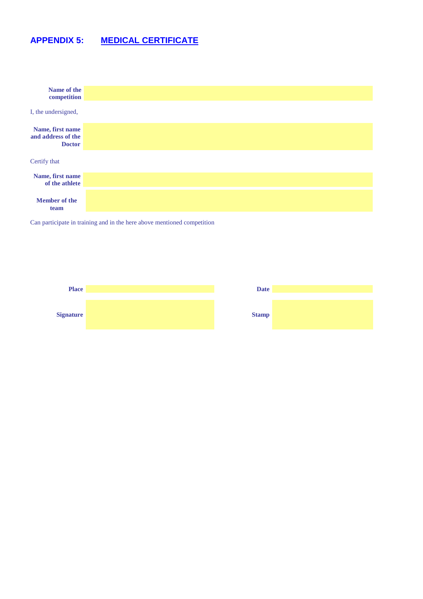# **APPENDIX 5: MEDICAL CERTIFICATE**



Can participate in training and in the here above mentioned competition



| <b>Date</b>  |  |
|--------------|--|
|              |  |
|              |  |
| <b>Stamp</b> |  |
|              |  |
|              |  |